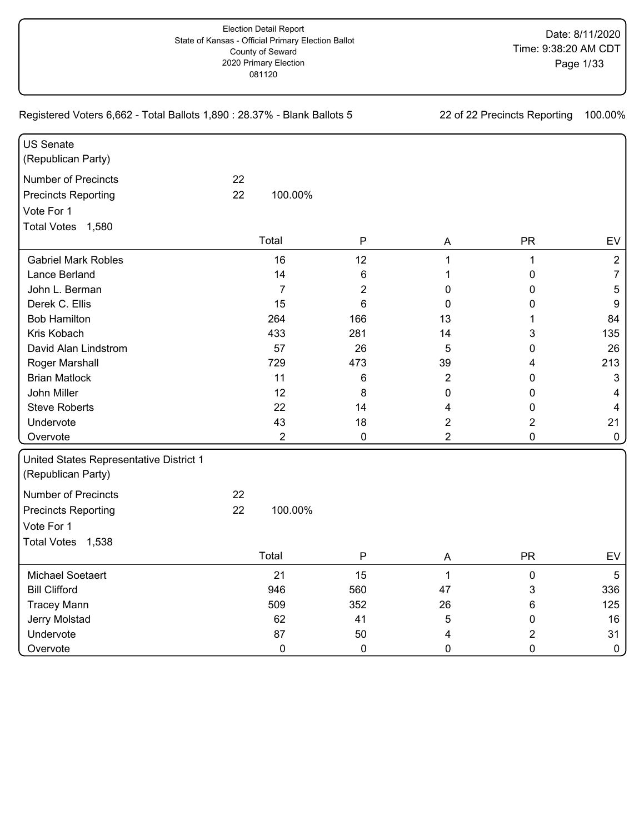Registered Voters 6,662 - Total Ballots 1,890 : 28.37% - Blank Ballots 5 22 0f 22 Precincts Reporting 100.00% US Senate (Republican Party) Number of Precincts 22 Precincts Reporting 22 Vote For 1 Gabriel Mark Robles **16** 12 12 1 1 1 1 2 2 Lance Berland 14 6 1 0 7 John L. Berman 7 2 0 0 5 Derek C. Ellis 15 6 0 0 9 Bob Hamilton 264 166 13 1 84 Kris Kobach 433 281 14 3 135 David Alan Lindstrom 57 26 5 0 26 Roger Marshall **8 1213 129 129 1213 1213 1213 1213 1213** Brian Matlock 11 6 2 0 3 John Miller 12 8 0 0 4 Steve Roberts 22 14 4 0 4 Undervote 43 18 2 2 21 Overvote 2 0 2 0 0 Total Votes 1,580 100.00% Total P A PR EV United States Representative District 1 (Republican Party) Number of Precincts 22 Precincts Reporting 22 Vote For 1 Michael Soetaert 21 15 1 0 5 Bill Clifford 946 560 47 3 336 Tracey Mann 509 352 26 6 125 Jerry Molstad 62 41 5 0 16 Undervote 87 50 4 2 31 Overvote 0 0 0 0 0 Total Votes 1,538 100.00% Total P A PR EV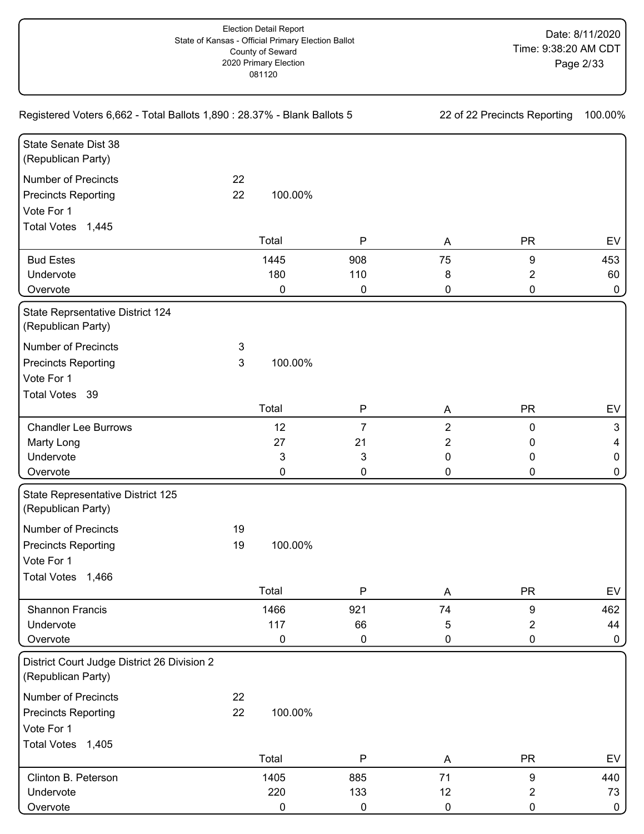| Registered Voters 6,662 - Total Ballots 1,890 : 28.37% - Blank Ballots 5 | 22 of 22 Precincts Reporting |         | 100.00%      |                |                  |              |
|--------------------------------------------------------------------------|------------------------------|---------|--------------|----------------|------------------|--------------|
| State Senate Dist 38                                                     |                              |         |              |                |                  |              |
| (Republican Party)                                                       |                              |         |              |                |                  |              |
| <b>Number of Precincts</b>                                               | 22                           |         |              |                |                  |              |
| <b>Precincts Reporting</b>                                               | 22                           | 100.00% |              |                |                  |              |
| Vote For 1                                                               |                              |         |              |                |                  |              |
| Total Votes 1,445                                                        |                              |         |              |                |                  |              |
|                                                                          |                              | Total   | $\mathsf{P}$ | A              | <b>PR</b>        | EV           |
| <b>Bud Estes</b>                                                         |                              | 1445    | 908          | 75             | 9                | 453          |
| Undervote                                                                |                              | 180     | 110          | 8              | $\overline{2}$   | 60           |
| Overvote                                                                 |                              | 0       | 0            | 0              | 0                | $\mathbf 0$  |
| State Reprsentative District 124<br>(Republican Party)                   |                              |         |              |                |                  |              |
| <b>Number of Precincts</b>                                               | 3                            |         |              |                |                  |              |
| <b>Precincts Reporting</b>                                               | 3                            | 100.00% |              |                |                  |              |
| Vote For 1                                                               |                              |         |              |                |                  |              |
| Total Votes 39                                                           |                              |         |              |                |                  |              |
|                                                                          |                              | Total   | $\mathsf{P}$ | A              | <b>PR</b>        | EV           |
| <b>Chandler Lee Burrows</b>                                              |                              | 12      | 7            | $\overline{2}$ | $\pmb{0}$        | 3            |
| Marty Long                                                               |                              | 27      | 21           | 2              | 0                | 4            |
| Undervote                                                                |                              | 3       | 3            | 0              | 0                | $\mathbf 0$  |
| Overvote                                                                 |                              | 0       | 0            | 0              | 0                | $\mathbf 0$  |
| State Representative District 125<br>(Republican Party)                  |                              |         |              |                |                  |              |
| <b>Number of Precincts</b>                                               | 19                           |         |              |                |                  |              |
| <b>Precincts Reporting</b>                                               | 19                           | 100.00% |              |                |                  |              |
| Vote For 1                                                               |                              |         |              |                |                  |              |
| <b>Total Votes</b><br>1,466                                              |                              |         |              |                |                  |              |
|                                                                          |                              | Total   | $\mathsf{P}$ | A              | <b>PR</b>        | EV           |
| Shannon Francis                                                          |                              | 1466    | 921          | 74             | $\boldsymbol{9}$ | 462          |
| Undervote                                                                |                              | 117     | 66           | 5              | $\overline{2}$   | 44           |
| Overvote                                                                 |                              | 0       | 0            | 0              | 0                | $\mathbf 0$  |
| District Court Judge District 26 Division 2<br>(Republican Party)        |                              |         |              |                |                  |              |
| <b>Number of Precincts</b>                                               | 22                           |         |              |                |                  |              |
| <b>Precincts Reporting</b>                                               | 22                           | 100.00% |              |                |                  |              |
| Vote For 1                                                               |                              |         |              |                |                  |              |
| Total Votes 1,405                                                        |                              |         |              |                |                  |              |
|                                                                          |                              | Total   | $\mathsf{P}$ | A              | <b>PR</b>        | EV           |
| Clinton B. Peterson                                                      |                              | 1405    | 885          | 71             | $\boldsymbol{9}$ | 440          |
| Undervote                                                                |                              | 220     | 133          | 12             | $\overline{2}$   | 73           |
| Overvote                                                                 |                              | 0       | 0            | $\pmb{0}$      | $\pmb{0}$        | $\mathbf{0}$ |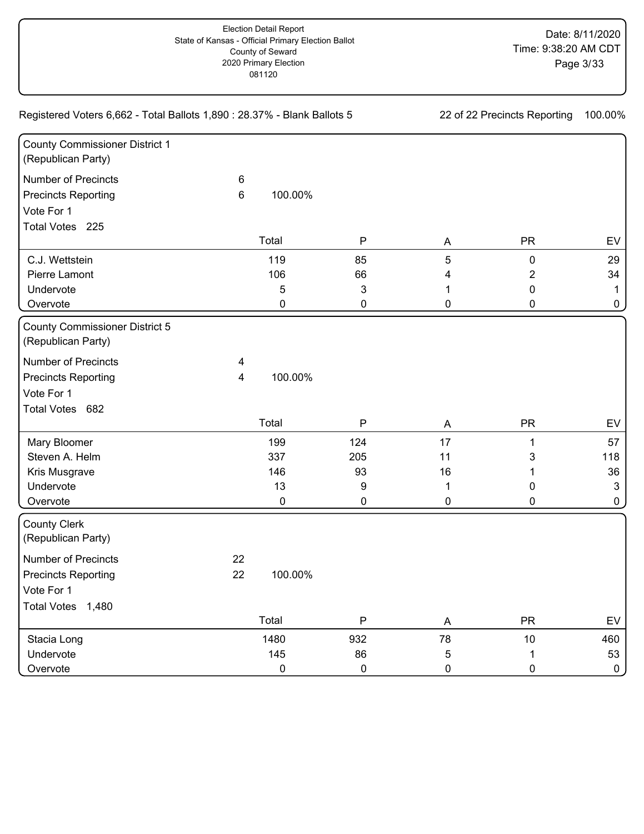| Registered Voters 6,662 - Total Ballots 1,890 : 28.37% - Blank Ballots 5 |    | 22 of 22 Precincts Reporting |              |           |           |              |
|--------------------------------------------------------------------------|----|------------------------------|--------------|-----------|-----------|--------------|
| <b>County Commissioner District 1</b><br>(Republican Party)              |    |                              |              |           |           |              |
| <b>Number of Precincts</b>                                               | 6  |                              |              |           |           |              |
| <b>Precincts Reporting</b>                                               | 6  | 100.00%                      |              |           |           |              |
| Vote For 1                                                               |    |                              |              |           |           |              |
| Total Votes 225                                                          |    |                              |              |           |           |              |
|                                                                          |    | Total                        | $\mathsf{P}$ | A         | <b>PR</b> | EV           |
| C.J. Wettstein                                                           |    | 119                          | 85           | 5         | 0         | 29           |
| Pierre Lamont                                                            |    | 106                          | 66           | 4         | 2         | 34           |
| Undervote                                                                |    | 5                            | 3            | 1         | 0         | -1           |
| Overvote                                                                 |    | 0                            | 0            | 0         | 0         | 0            |
| <b>County Commissioner District 5</b><br>(Republican Party)              |    |                              |              |           |           |              |
| <b>Number of Precincts</b>                                               | 4  |                              |              |           |           |              |
| <b>Precincts Reporting</b>                                               | 4  | 100.00%                      |              |           |           |              |
| Vote For 1                                                               |    |                              |              |           |           |              |
| Total Votes 682                                                          |    |                              |              |           |           |              |
|                                                                          |    | Total                        | ${\sf P}$    | A         | <b>PR</b> | EV           |
| Mary Bloomer                                                             |    | 199                          | 124          | 17        | 1         | 57           |
| Steven A. Helm                                                           |    | 337                          | 205          | 11        | 3         | 118          |
| Kris Musgrave                                                            |    | 146                          | 93           | 16        | 1         | 36           |
| Undervote                                                                |    | 13                           | 9            | 1         | 0         | $\mathbf{3}$ |
| Overvote                                                                 |    | 0                            | 0            | 0         | 0         | 0            |
| <b>County Clerk</b><br>(Republican Party)                                |    |                              |              |           |           |              |
| <b>Number of Precincts</b>                                               | 22 |                              |              |           |           |              |
| <b>Precincts Reporting</b>                                               | 22 | 100.00%                      |              |           |           |              |
| Vote For 1                                                               |    |                              |              |           |           |              |
| Total Votes 1,480                                                        |    |                              |              |           |           |              |
|                                                                          |    | Total                        | $\mathsf P$  | A         | <b>PR</b> | EV           |
| Stacia Long                                                              |    | 1480                         | 932          | 78        | 10        | 460          |
| Undervote                                                                |    | 145                          | 86           | 5         | 1         | 53           |
| Overvote                                                                 |    | $\pmb{0}$                    | $\pmb{0}$    | $\pmb{0}$ | 0         | $\mathbf{0}$ |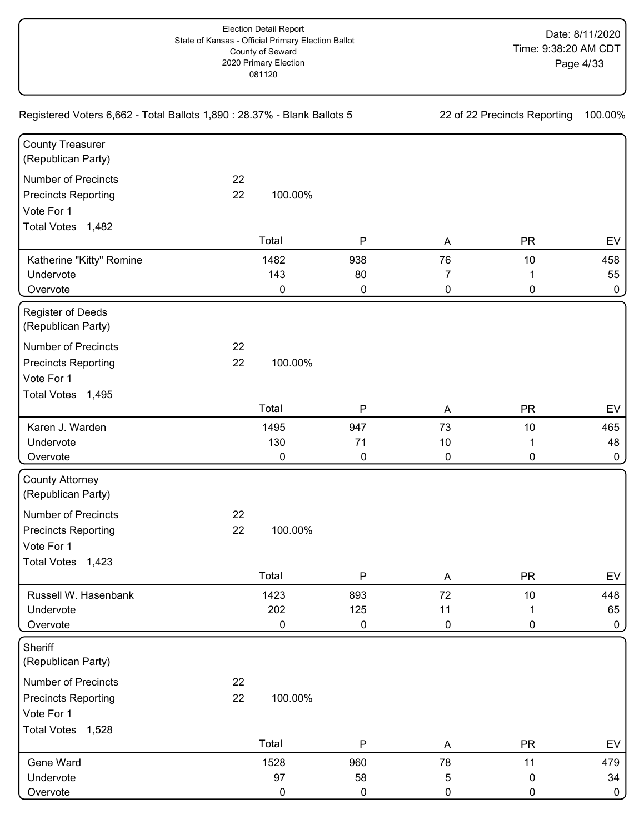| Registered Voters 6,662 - Total Ballots 1,890 : 28.37% - Blank Ballots 5                    | 22 of 22 Precincts Reporting |                         | 100.00%                |                           |                      |                           |
|---------------------------------------------------------------------------------------------|------------------------------|-------------------------|------------------------|---------------------------|----------------------|---------------------------|
| <b>County Treasurer</b><br>(Republican Party)                                               |                              |                         |                        |                           |                      |                           |
| <b>Number of Precincts</b><br><b>Precincts Reporting</b><br>Vote For 1<br>Total Votes 1,482 | 22<br>22                     | 100.00%                 |                        |                           |                      |                           |
|                                                                                             |                              | Total                   | $\mathsf{P}$           | A                         | <b>PR</b>            | EV                        |
| Katherine "Kitty" Romine<br>Undervote<br>Overvote                                           |                              | 1482<br>143<br>0        | 938<br>80<br>0         | 76<br>7<br>0              | 10<br>1<br>0         | 458<br>55<br>$\mathbf 0$  |
| Register of Deeds<br>(Republican Party)                                                     |                              |                         |                        |                           |                      |                           |
| <b>Number of Precincts</b><br><b>Precincts Reporting</b><br>Vote For 1<br>Total Votes 1,495 | 22<br>22                     | 100.00%                 |                        |                           |                      |                           |
|                                                                                             |                              | Total                   | ${\sf P}$              | A                         | <b>PR</b>            | EV                        |
| Karen J. Warden<br>Undervote<br>Overvote                                                    |                              | 1495<br>130<br>0        | 947<br>71<br>0         | 73<br>$10$<br>$\mathbf 0$ | 10<br>1<br>0         | 465<br>48<br>$\mathbf 0$  |
| <b>County Attorney</b><br>(Republican Party)                                                |                              |                         |                        |                           |                      |                           |
| <b>Number of Precincts</b><br><b>Precincts Reporting</b><br>Vote For 1<br>Total Votes 1,423 | 22<br>22                     | 100.00%                 |                        |                           |                      |                           |
|                                                                                             |                              | Total                   | P                      | A                         | <b>PR</b>            | EV                        |
| Russell W. Hasenbank<br>Undervote<br>Overvote                                               |                              | 1423<br>202<br>0        | 893<br>125<br>0        | 72<br>11<br>$\pmb{0}$     | 10<br>1<br>0         | 448<br>65<br>$\mathbf 0$  |
| Sheriff<br>(Republican Party)                                                               |                              |                         |                        |                           |                      |                           |
| <b>Number of Precincts</b><br><b>Precincts Reporting</b><br>Vote For 1<br>Total Votes 1,528 | 22<br>22                     | 100.00%                 |                        |                           |                      |                           |
|                                                                                             |                              | Total                   | $\mathsf{P}$           | A                         | <b>PR</b>            | EV                        |
| Gene Ward<br>Undervote<br>Overvote                                                          |                              | 1528<br>97<br>$\pmb{0}$ | 960<br>58<br>$\pmb{0}$ | 78<br>5<br>0              | 11<br>$\pmb{0}$<br>0 | 479<br>34<br>$\mathbf{0}$ |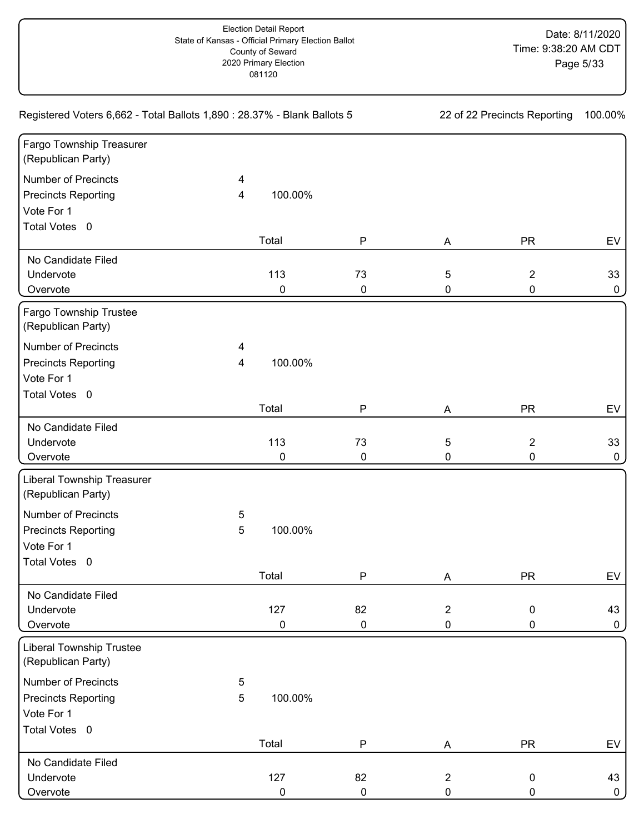| Registered Voters 6,662 - Total Ballots 1,890 : 28.37% - Blank Ballots 5 | 22 of 22 Precincts Reporting |           | 100.00%   |                |                |              |
|--------------------------------------------------------------------------|------------------------------|-----------|-----------|----------------|----------------|--------------|
| Fargo Township Treasurer<br>(Republican Party)                           |                              |           |           |                |                |              |
| <b>Number of Precincts</b>                                               | 4                            |           |           |                |                |              |
| <b>Precincts Reporting</b>                                               | 4                            | 100.00%   |           |                |                |              |
| Vote For 1                                                               |                              |           |           |                |                |              |
| Total Votes 0                                                            |                              |           |           |                |                |              |
|                                                                          |                              | Total     | ${\sf P}$ | A              | <b>PR</b>      | EV           |
| No Candidate Filed                                                       |                              |           |           |                |                |              |
| Undervote                                                                |                              | 113       | 73        | 5              | $\overline{2}$ | 33           |
| Overvote                                                                 |                              | 0         | $\pmb{0}$ | 0              | 0              | 0            |
| Fargo Township Trustee<br>(Republican Party)                             |                              |           |           |                |                |              |
| <b>Number of Precincts</b>                                               | 4                            |           |           |                |                |              |
| <b>Precincts Reporting</b>                                               | 4                            | 100.00%   |           |                |                |              |
| Vote For 1                                                               |                              |           |           |                |                |              |
| Total Votes 0                                                            |                              |           |           |                |                |              |
|                                                                          |                              | Total     | P         | A              | <b>PR</b>      | EV           |
| No Candidate Filed                                                       |                              |           |           |                |                |              |
| Undervote                                                                |                              | 113       | 73        | $\sqrt{5}$     | $\overline{2}$ | 33           |
| Overvote                                                                 |                              | 0         | $\pmb{0}$ | 0              | 0              | 0            |
| <b>Liberal Township Treasurer</b><br>(Republican Party)                  |                              |           |           |                |                |              |
| <b>Number of Precincts</b>                                               | 5                            |           |           |                |                |              |
| <b>Precincts Reporting</b>                                               | 5                            | 100.00%   |           |                |                |              |
| Vote For 1                                                               |                              |           |           |                |                |              |
| Total Votes 0                                                            |                              |           |           |                |                |              |
|                                                                          |                              | Total     | ${\sf P}$ | A              | <b>PR</b>      | EV           |
| No Candidate Filed                                                       |                              |           |           |                |                |              |
| Undervote                                                                |                              | 127       | 82        | $\overline{2}$ | 0              | 43           |
| Overvote                                                                 |                              | 0         | 0         | $\pmb{0}$      | 0              | 0            |
| <b>Liberal Township Trustee</b><br>(Republican Party)                    |                              |           |           |                |                |              |
| <b>Number of Precincts</b>                                               | 5                            |           |           |                |                |              |
| <b>Precincts Reporting</b>                                               | 5                            | 100.00%   |           |                |                |              |
| Vote For 1                                                               |                              |           |           |                |                |              |
| Total Votes 0                                                            |                              |           |           |                |                |              |
|                                                                          |                              | Total     | ${\sf P}$ | A              | <b>PR</b>      | EV           |
| No Candidate Filed                                                       |                              |           |           |                |                |              |
| Undervote                                                                |                              | 127       | 82        | $\overline{2}$ | 0              | 43           |
| Overvote                                                                 |                              | $\pmb{0}$ | $\pmb{0}$ | $\pmb{0}$      | 0              | $\mathbf{0}$ |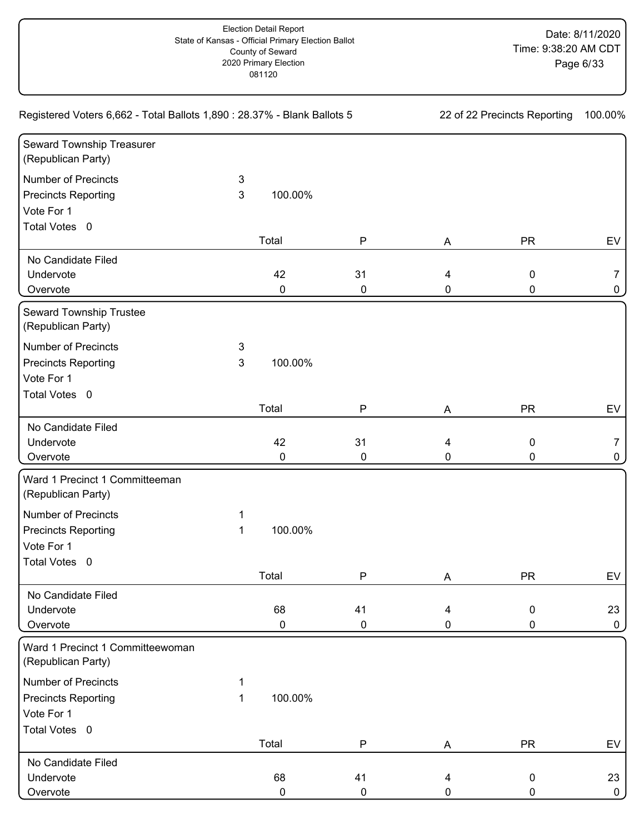| Registered Voters 6,662 - Total Ballots 1,890 : 28.37% - Blank Ballots 5 | 22 of 22 Precincts Reporting |           | 100.00%      |           |           |              |
|--------------------------------------------------------------------------|------------------------------|-----------|--------------|-----------|-----------|--------------|
| Seward Township Treasurer<br>(Republican Party)                          |                              |           |              |           |           |              |
| <b>Number of Precincts</b>                                               | 3                            |           |              |           |           |              |
| <b>Precincts Reporting</b>                                               | 3                            | 100.00%   |              |           |           |              |
| Vote For 1                                                               |                              |           |              |           |           |              |
| Total Votes 0                                                            |                              |           |              |           |           |              |
|                                                                          |                              | Total     | ${\sf P}$    | A         | <b>PR</b> | EV           |
| No Candidate Filed                                                       |                              |           |              |           |           |              |
| Undervote                                                                |                              | 42        | 31           | 4         | 0         | 7            |
| Overvote                                                                 |                              | 0         | $\pmb{0}$    | 0         | 0         | 0            |
| Seward Township Trustee<br>(Republican Party)                            |                              |           |              |           |           |              |
| <b>Number of Precincts</b>                                               | 3                            |           |              |           |           |              |
| <b>Precincts Reporting</b>                                               | $\mathsf 3$                  | 100.00%   |              |           |           |              |
| Vote For 1                                                               |                              |           |              |           |           |              |
| Total Votes 0                                                            |                              |           |              |           |           |              |
|                                                                          |                              | Total     | P            | A         | <b>PR</b> | EV           |
| No Candidate Filed                                                       |                              |           |              |           |           |              |
| Undervote                                                                |                              | 42        | 31           | 4         | 0         | 7            |
| Overvote                                                                 |                              | $\pmb{0}$ | $\pmb{0}$    | 0         | 0         | 0            |
| Ward 1 Precinct 1 Committeeman<br>(Republican Party)                     |                              |           |              |           |           |              |
| <b>Number of Precincts</b>                                               | 1                            |           |              |           |           |              |
| <b>Precincts Reporting</b>                                               | 1                            | 100.00%   |              |           |           |              |
| Vote For 1                                                               |                              |           |              |           |           |              |
| Total Votes 0                                                            |                              |           |              |           |           |              |
|                                                                          |                              | Total     | $\mathsf{P}$ | A         | <b>PR</b> | EV           |
| No Candidate Filed                                                       |                              |           |              |           |           |              |
| Undervote                                                                |                              | 68        | 41           | 4         | 0         | 23           |
| Overvote                                                                 |                              | 0         | $\pmb{0}$    | 0         | 0         | 0            |
| Ward 1 Precinct 1 Committeewoman<br>(Republican Party)                   |                              |           |              |           |           |              |
| <b>Number of Precincts</b>                                               | 1                            |           |              |           |           |              |
| <b>Precincts Reporting</b>                                               | 1                            | 100.00%   |              |           |           |              |
| Vote For 1                                                               |                              |           |              |           |           |              |
| Total Votes 0                                                            |                              |           |              |           |           |              |
|                                                                          |                              | Total     | ${\sf P}$    | A         | <b>PR</b> | EV           |
| No Candidate Filed                                                       |                              |           |              |           |           |              |
| Undervote                                                                |                              | 68        | 41           | 4         | 0         | 23           |
| Overvote                                                                 |                              | $\pmb{0}$ | $\pmb{0}$    | $\pmb{0}$ | 0         | $\mathbf{0}$ |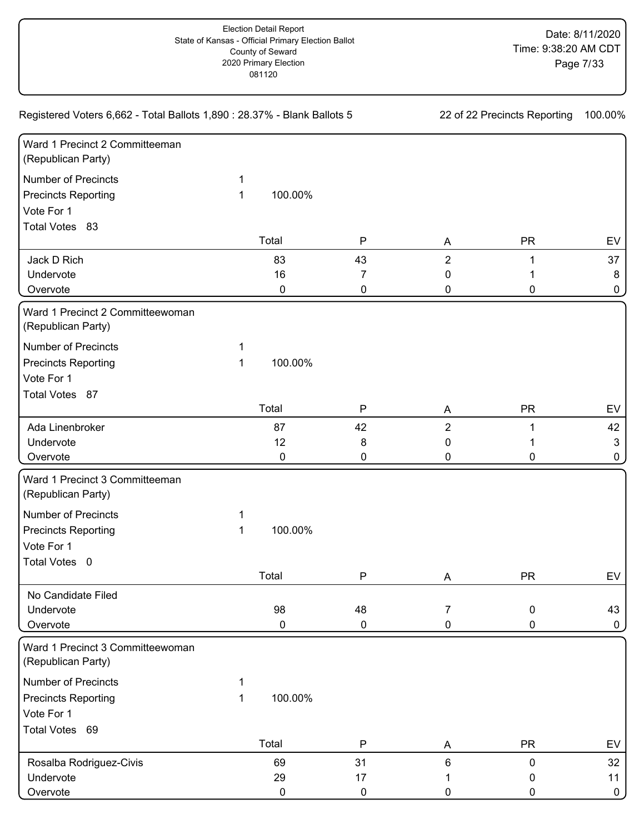| Registered Voters 6,662 - Total Ballots 1,890 : 28.37% - Blank Ballots 5 | 22 of 22 Precincts Reporting |         | 100.00%      |                |             |              |
|--------------------------------------------------------------------------|------------------------------|---------|--------------|----------------|-------------|--------------|
| Ward 1 Precinct 2 Committeeman<br>(Republican Party)                     |                              |         |              |                |             |              |
| <b>Number of Precincts</b>                                               | 1                            |         |              |                |             |              |
| <b>Precincts Reporting</b>                                               | 1                            | 100.00% |              |                |             |              |
| Vote For 1                                                               |                              |         |              |                |             |              |
| Total Votes 83                                                           |                              |         |              |                |             |              |
|                                                                          |                              | Total   | $\mathsf{P}$ | A              | <b>PR</b>   | EV           |
| Jack D Rich                                                              |                              | 83      | 43           | $\overline{2}$ |             | 37           |
| Undervote                                                                |                              | 16      | 7            | 0              |             | 8            |
| Overvote                                                                 |                              | 0       | 0            | 0              | 0           | 0            |
| Ward 1 Precinct 2 Committeewoman<br>(Republican Party)                   |                              |         |              |                |             |              |
| <b>Number of Precincts</b>                                               | 1                            |         |              |                |             |              |
| <b>Precincts Reporting</b>                                               | 1                            | 100.00% |              |                |             |              |
| Vote For 1                                                               |                              |         |              |                |             |              |
| Total Votes 87                                                           |                              |         |              |                |             |              |
|                                                                          |                              | Total   | $\mathsf{P}$ | A              | <b>PR</b>   | EV           |
| Ada Linenbroker                                                          |                              | 87      | 42           | $\overline{2}$ |             | 42           |
| Undervote                                                                |                              | 12      | 8            | 0              |             | 3            |
| Overvote                                                                 |                              | 0       | 0            | 0              | 0           | 0            |
| Ward 1 Precinct 3 Committeeman<br>(Republican Party)                     |                              |         |              |                |             |              |
| <b>Number of Precincts</b>                                               | 1                            |         |              |                |             |              |
| <b>Precincts Reporting</b>                                               | 1                            | 100.00% |              |                |             |              |
| Vote For 1                                                               |                              |         |              |                |             |              |
| Total Votes 0                                                            |                              |         |              |                |             |              |
|                                                                          |                              | Total   | P            | A              | <b>PR</b>   | <b>EV</b>    |
| No Candidate Filed                                                       |                              |         |              |                |             |              |
| Undervote                                                                |                              | 98      | 48           | 7              | 0           | 43           |
| Overvote                                                                 |                              | 0       | 0            | 0              | 0           | $\mathbf 0$  |
| Ward 1 Precinct 3 Committeewoman<br>(Republican Party)                   |                              |         |              |                |             |              |
| <b>Number of Precincts</b>                                               | 1                            |         |              |                |             |              |
| <b>Precincts Reporting</b>                                               | 1                            | 100.00% |              |                |             |              |
| Vote For 1                                                               |                              |         |              |                |             |              |
| Total Votes 69                                                           |                              |         |              |                |             |              |
|                                                                          |                              | Total   | $\mathsf{P}$ | A              | <b>PR</b>   | EV           |
| Rosalba Rodriguez-Civis                                                  |                              | 69      | 31           | 6              | $\mathbf 0$ | 32           |
| Undervote                                                                |                              | 29      | 17           |                | 0           | 11           |
| Overvote                                                                 |                              | 0       | $\pmb{0}$    | 0              | 0           | $\mathbf{0}$ |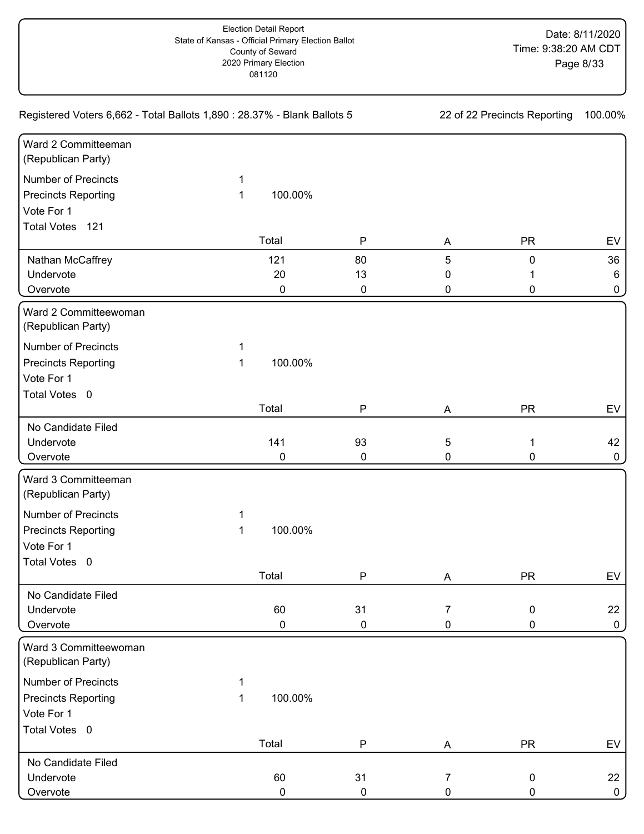| Registered Voters 6,662 - Total Ballots 1,890 : 28.37% - Blank Ballots 5 | 22 of 22 Precincts Reporting |           | 100.00%      |           |           |              |
|--------------------------------------------------------------------------|------------------------------|-----------|--------------|-----------|-----------|--------------|
| Ward 2 Committeeman<br>(Republican Party)                                |                              |           |              |           |           |              |
| <b>Number of Precincts</b>                                               | 1                            |           |              |           |           |              |
| <b>Precincts Reporting</b>                                               | 1                            | 100.00%   |              |           |           |              |
| Vote For 1                                                               |                              |           |              |           |           |              |
| Total Votes 121                                                          |                              |           |              |           |           |              |
|                                                                          |                              | Total     | $\mathsf{P}$ | A         | <b>PR</b> | EV           |
| Nathan McCaffrey                                                         |                              | 121       | 80           | 5         | 0         | 36           |
| Undervote                                                                |                              | 20        | 13           | 0         | 1         | 6            |
| Overvote                                                                 |                              | 0         | $\pmb{0}$    | 0         | 0         | 0            |
| Ward 2 Committeewoman<br>(Republican Party)                              |                              |           |              |           |           |              |
| <b>Number of Precincts</b>                                               | 1                            |           |              |           |           |              |
| <b>Precincts Reporting</b>                                               | 1                            | 100.00%   |              |           |           |              |
| Vote For 1                                                               |                              |           |              |           |           |              |
| Total Votes 0                                                            |                              |           |              |           |           |              |
|                                                                          |                              | Total     | P            | Α         | <b>PR</b> | EV           |
| No Candidate Filed                                                       |                              |           |              |           |           |              |
| Undervote                                                                |                              | 141       | 93           | 5         | 1         | 42           |
| Overvote                                                                 |                              | 0         | $\pmb{0}$    | 0         | 0         | 0            |
| Ward 3 Committeeman<br>(Republican Party)                                |                              |           |              |           |           |              |
| <b>Number of Precincts</b>                                               | 1                            |           |              |           |           |              |
| <b>Precincts Reporting</b>                                               | 1                            | 100.00%   |              |           |           |              |
| Vote For 1                                                               |                              |           |              |           |           |              |
| Total Votes 0                                                            |                              |           |              |           |           |              |
|                                                                          |                              | Total     | $\mathsf{P}$ | A         | <b>PR</b> | EV           |
| No Candidate Filed                                                       |                              |           |              |           |           |              |
| Undervote                                                                |                              | 60        | 31           | 7         | 0         | 22           |
| Overvote                                                                 |                              | 0         | $\pmb{0}$    | 0         | 0         | 0            |
| Ward 3 Committeewoman<br>(Republican Party)                              |                              |           |              |           |           |              |
| <b>Number of Precincts</b>                                               | 1                            |           |              |           |           |              |
| <b>Precincts Reporting</b>                                               | 1                            | 100.00%   |              |           |           |              |
| Vote For 1                                                               |                              |           |              |           |           |              |
| Total Votes 0                                                            |                              |           |              |           |           |              |
|                                                                          |                              | Total     | ${\sf P}$    | A         | <b>PR</b> | EV           |
| No Candidate Filed                                                       |                              |           |              |           |           |              |
| Undervote                                                                |                              | 60        | 31           | 7         | 0         | 22           |
| Overvote                                                                 |                              | $\pmb{0}$ | $\pmb{0}$    | $\pmb{0}$ | 0         | $\mathbf{0}$ |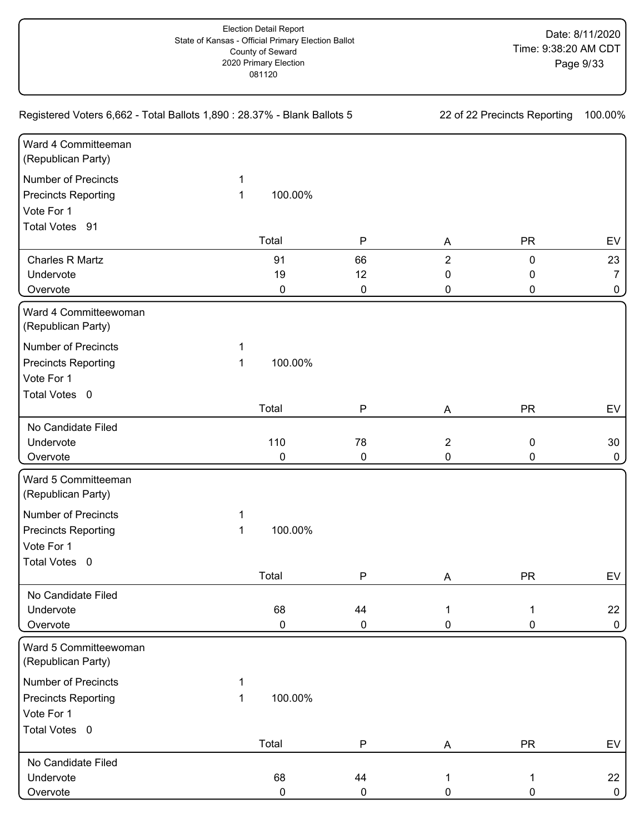| Registered Voters 6,662 - Total Ballots 1,890 : 28.37% - Blank Ballots 5 | 22 of 22 Precincts Reporting |           | 100.00%      |                |           |              |
|--------------------------------------------------------------------------|------------------------------|-----------|--------------|----------------|-----------|--------------|
| Ward 4 Committeeman<br>(Republican Party)                                |                              |           |              |                |           |              |
| <b>Number of Precincts</b>                                               | 1                            |           |              |                |           |              |
| <b>Precincts Reporting</b>                                               | 1                            | 100.00%   |              |                |           |              |
| Vote For 1                                                               |                              |           |              |                |           |              |
| Total Votes 91                                                           |                              |           |              |                |           |              |
|                                                                          |                              | Total     | ${\sf P}$    | A              | <b>PR</b> | EV           |
| Charles R Martz                                                          |                              | 91        | 66           | $\overline{2}$ | 0         | 23           |
| Undervote                                                                |                              | 19        | 12           | 0              | 0         | 7            |
| Overvote                                                                 |                              | 0         | $\pmb{0}$    | 0              | 0         | 0            |
| Ward 4 Committeewoman<br>(Republican Party)                              |                              |           |              |                |           |              |
| <b>Number of Precincts</b>                                               | 1                            |           |              |                |           |              |
| <b>Precincts Reporting</b>                                               | 1                            | 100.00%   |              |                |           |              |
| Vote For 1                                                               |                              |           |              |                |           |              |
| Total Votes 0                                                            |                              |           |              |                |           |              |
|                                                                          |                              | Total     | P            | Α              | <b>PR</b> | EV           |
| No Candidate Filed                                                       |                              |           |              |                |           |              |
| Undervote                                                                |                              | 110       | 78           | $\overline{2}$ | 0         | 30           |
| Overvote                                                                 |                              | 0         | $\pmb{0}$    | 0              | 0         | 0            |
| Ward 5 Committeeman<br>(Republican Party)                                |                              |           |              |                |           |              |
| <b>Number of Precincts</b>                                               | 1                            |           |              |                |           |              |
| <b>Precincts Reporting</b>                                               | 1                            | 100.00%   |              |                |           |              |
| Vote For 1                                                               |                              |           |              |                |           |              |
| Total Votes 0                                                            |                              |           |              |                |           |              |
|                                                                          |                              | Total     | $\mathsf{P}$ | A              | <b>PR</b> | EV           |
| No Candidate Filed                                                       |                              |           |              |                |           |              |
| Undervote                                                                |                              | 68        | 44           | 1              | 1         | 22           |
| Overvote                                                                 |                              | 0         | $\pmb{0}$    | 0              | 0         | $\mathsf{O}$ |
| Ward 5 Committeewoman<br>(Republican Party)                              |                              |           |              |                |           |              |
| <b>Number of Precincts</b>                                               | 1                            |           |              |                |           |              |
| <b>Precincts Reporting</b>                                               | 1                            | 100.00%   |              |                |           |              |
| Vote For 1                                                               |                              |           |              |                |           |              |
| Total Votes 0                                                            |                              |           |              |                |           |              |
|                                                                          |                              | Total     | ${\sf P}$    | A              | <b>PR</b> | EV           |
| No Candidate Filed                                                       |                              |           |              |                |           |              |
| Undervote                                                                |                              | 68        | 44           | $\mathbf 1$    | 1         | 22           |
| Overvote                                                                 |                              | $\pmb{0}$ | $\pmb{0}$    | 0              | 0         | $\mathbf 0$  |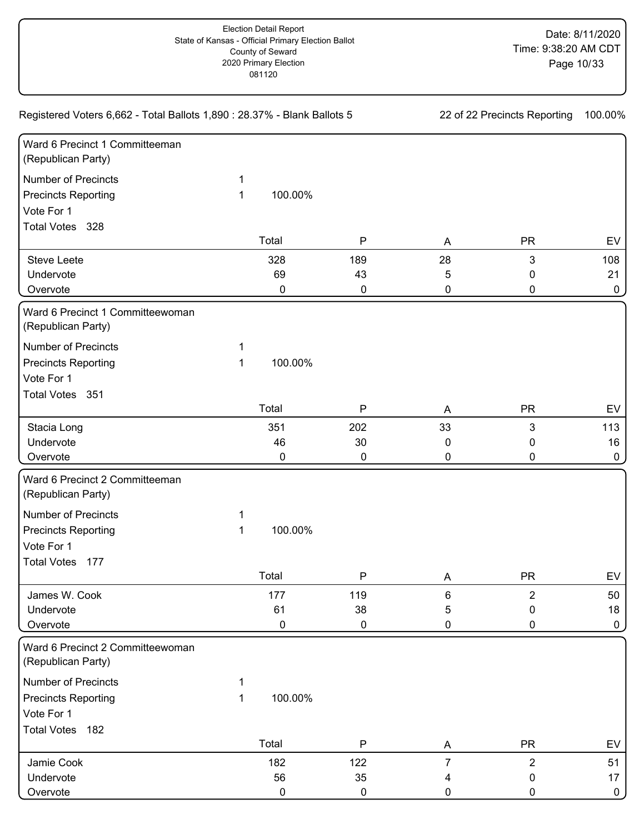| Registered Voters 6,662 - Total Ballots 1,890 : 28.37% - Blank Ballots 5 | 22 of 22 Precincts Reporting |         | 100.00%      |                |                |              |
|--------------------------------------------------------------------------|------------------------------|---------|--------------|----------------|----------------|--------------|
| Ward 6 Precinct 1 Committeeman<br>(Republican Party)                     |                              |         |              |                |                |              |
| <b>Number of Precincts</b>                                               | 1                            |         |              |                |                |              |
| <b>Precincts Reporting</b>                                               | 1                            | 100.00% |              |                |                |              |
| Vote For 1                                                               |                              |         |              |                |                |              |
| Total Votes 328                                                          |                              |         |              |                |                |              |
|                                                                          |                              | Total   | $\mathsf{P}$ | A              | <b>PR</b>      | EV           |
| <b>Steve Leete</b>                                                       |                              | 328     | 189          | 28             | 3              | 108          |
| Undervote                                                                |                              | 69      | 43           | 5              | 0              | 21           |
| Overvote                                                                 |                              | 0       | 0            | 0              | 0              | $\mathbf 0$  |
| Ward 6 Precinct 1 Committeewoman<br>(Republican Party)                   |                              |         |              |                |                |              |
| <b>Number of Precincts</b>                                               | 1                            |         |              |                |                |              |
| <b>Precincts Reporting</b>                                               | 1                            | 100.00% |              |                |                |              |
| Vote For 1                                                               |                              |         |              |                |                |              |
| Total Votes 351                                                          |                              |         |              |                |                |              |
|                                                                          |                              | Total   | $\mathsf{P}$ | A              | <b>PR</b>      | EV           |
| Stacia Long                                                              |                              | 351     | 202          | 33             | 3              | 113          |
| Undervote                                                                |                              | 46      | 30           | 0              | 0              | 16           |
| Overvote                                                                 |                              | 0       | 0            | 0              | 0              | 0            |
| Ward 6 Precinct 2 Committeeman<br>(Republican Party)                     |                              |         |              |                |                |              |
| <b>Number of Precincts</b>                                               | 1                            |         |              |                |                |              |
| <b>Precincts Reporting</b>                                               | 1                            | 100.00% |              |                |                |              |
| Vote For 1                                                               |                              |         |              |                |                |              |
| <b>Total Votes</b><br>177                                                |                              |         |              |                |                |              |
|                                                                          |                              | Total   | $\mathsf{P}$ | A              | <b>PR</b>      | EV           |
| James W. Cook                                                            |                              | 177     | 119          | 6              | $\overline{2}$ | 50           |
| Undervote                                                                |                              | 61      | 38           | 5              | $\pmb{0}$      | 18           |
| Overvote                                                                 |                              | 0       | 0            | 0              | 0              | $\mathbf 0$  |
| Ward 6 Precinct 2 Committeewoman<br>(Republican Party)                   |                              |         |              |                |                |              |
| <b>Number of Precincts</b>                                               | 1                            |         |              |                |                |              |
| <b>Precincts Reporting</b>                                               | $\mathbf 1$                  | 100.00% |              |                |                |              |
| Vote For 1                                                               |                              |         |              |                |                |              |
| Total Votes 182                                                          |                              |         |              |                |                |              |
|                                                                          |                              | Total   | $\mathsf P$  | A              | <b>PR</b>      | EV           |
| Jamie Cook                                                               |                              | 182     | 122          | $\overline{7}$ | $\overline{2}$ | 51           |
| Undervote                                                                |                              | 56      | 35           | 4              | 0              | 17           |
| Overvote                                                                 |                              | 0       | 0            | 0              | 0              | $\mathbf{0}$ |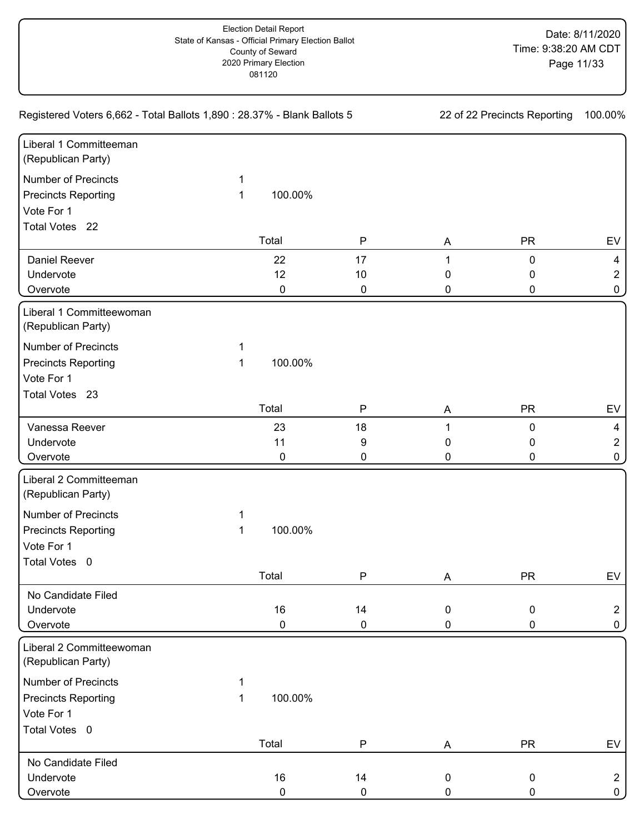| Registered Voters 6,662 - Total Ballots 1,890 : 28.37% - Blank Ballots 5 | 22 of 22 Precincts Reporting |           | 100.00%      |                  |           |                |
|--------------------------------------------------------------------------|------------------------------|-----------|--------------|------------------|-----------|----------------|
| Liberal 1 Committeeman<br>(Republican Party)                             |                              |           |              |                  |           |                |
| <b>Number of Precincts</b>                                               | 1                            |           |              |                  |           |                |
| <b>Precincts Reporting</b>                                               | 1                            | 100.00%   |              |                  |           |                |
| Vote For 1                                                               |                              |           |              |                  |           |                |
| Total Votes 22                                                           |                              |           |              |                  |           |                |
|                                                                          |                              | Total     | ${\sf P}$    | A                | <b>PR</b> | EV             |
| Daniel Reever                                                            |                              | 22        | 17           | 1                | 0         | $\overline{4}$ |
| Undervote                                                                |                              | 12        | 10           | 0                | 0         | $\overline{2}$ |
| Overvote                                                                 |                              | 0         | $\pmb{0}$    | 0                | 0         | 0              |
| Liberal 1 Committeewoman<br>(Republican Party)                           |                              |           |              |                  |           |                |
| <b>Number of Precincts</b>                                               | 1                            |           |              |                  |           |                |
| <b>Precincts Reporting</b>                                               | 1                            | 100.00%   |              |                  |           |                |
| Vote For 1                                                               |                              |           |              |                  |           |                |
| Total Votes 23                                                           |                              |           |              |                  |           |                |
|                                                                          |                              | Total     | P            | Α                | <b>PR</b> | EV             |
| Vanessa Reever                                                           |                              | 23        | 18           | 1                | 0         | 4              |
| Undervote                                                                |                              | 11        | 9            | 0                | 0         | $\overline{2}$ |
| Overvote                                                                 |                              | 0         | 0            | 0                | 0         | 0              |
| Liberal 2 Committeeman<br>(Republican Party)                             |                              |           |              |                  |           |                |
| <b>Number of Precincts</b>                                               | 1                            |           |              |                  |           |                |
| <b>Precincts Reporting</b>                                               | 1                            | 100.00%   |              |                  |           |                |
| Vote For 1                                                               |                              |           |              |                  |           |                |
| Total Votes 0                                                            |                              |           |              |                  |           |                |
|                                                                          |                              | Total     | $\mathsf{P}$ | Α                | <b>PR</b> | EV             |
| No Candidate Filed                                                       |                              |           |              |                  |           |                |
| Undervote                                                                |                              | 16        | 14           | $\mathbf 0$      | 0         | $\overline{2}$ |
| Overvote                                                                 |                              | 0         | 0            | 0                | 0         | $\mathsf{O}$   |
| Liberal 2 Committeewoman<br>(Republican Party)                           |                              |           |              |                  |           |                |
| <b>Number of Precincts</b>                                               | 1                            |           |              |                  |           |                |
| <b>Precincts Reporting</b>                                               | 1                            | 100.00%   |              |                  |           |                |
| Vote For 1                                                               |                              |           |              |                  |           |                |
| Total Votes 0                                                            |                              |           |              |                  |           |                |
|                                                                          |                              | Total     | ${\sf P}$    | A                | <b>PR</b> | EV             |
| No Candidate Filed                                                       |                              |           |              |                  |           |                |
| Undervote                                                                |                              | 16        | 14           | $\boldsymbol{0}$ | 0         | $\overline{2}$ |
| Overvote                                                                 |                              | $\pmb{0}$ | $\pmb{0}$    | $\pmb{0}$        | 0         | 0 <sup>1</sup> |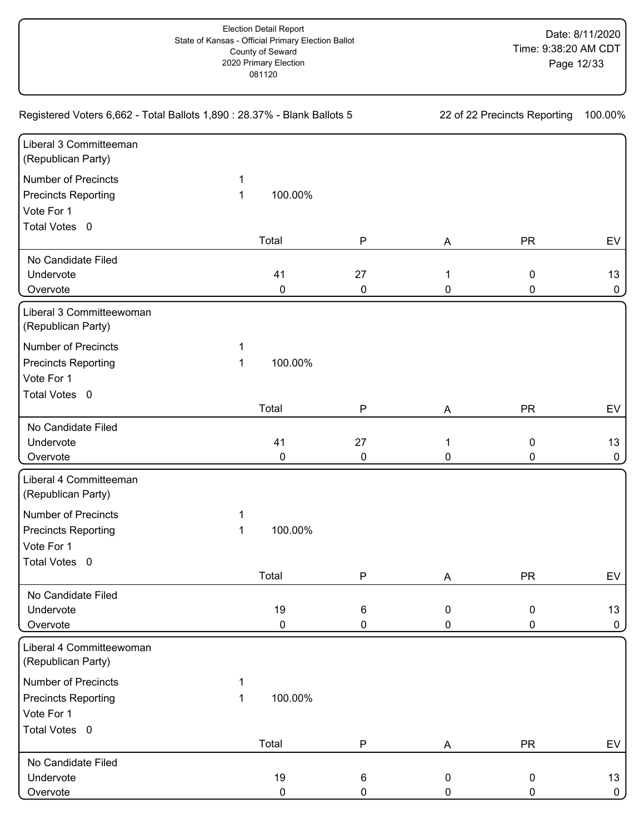| Registered Voters 6,662 - Total Ballots 1,890 : 28.37% - Blank Ballots 5 | 22 of 22 Precincts Reporting |           | 100.00%   |                  |           |              |
|--------------------------------------------------------------------------|------------------------------|-----------|-----------|------------------|-----------|--------------|
| Liberal 3 Committeeman<br>(Republican Party)                             |                              |           |           |                  |           |              |
| <b>Number of Precincts</b>                                               | 1                            |           |           |                  |           |              |
| <b>Precincts Reporting</b>                                               | 1                            | 100.00%   |           |                  |           |              |
| Vote For 1                                                               |                              |           |           |                  |           |              |
| Total Votes 0                                                            |                              |           |           |                  |           |              |
|                                                                          |                              | Total     | ${\sf P}$ | A                | <b>PR</b> | EV           |
| No Candidate Filed                                                       |                              |           |           |                  |           |              |
| Undervote                                                                |                              | 41        | 27        | 1                | 0         | 13           |
| Overvote                                                                 |                              | 0         | $\pmb{0}$ | 0                | 0         | 0            |
| Liberal 3 Committeewoman<br>(Republican Party)                           |                              |           |           |                  |           |              |
| <b>Number of Precincts</b>                                               | 1                            |           |           |                  |           |              |
| <b>Precincts Reporting</b>                                               | 1                            | 100.00%   |           |                  |           |              |
| Vote For 1                                                               |                              |           |           |                  |           |              |
| Total Votes 0                                                            |                              |           |           |                  |           |              |
|                                                                          |                              | Total     | P         | Α                | <b>PR</b> | EV           |
| No Candidate Filed                                                       |                              |           |           |                  |           |              |
| Undervote                                                                |                              | 41        | 27        | $\mathbf{1}$     | 0         | 13           |
| Overvote                                                                 |                              | 0         | $\pmb{0}$ | 0                | 0         | 0            |
| Liberal 4 Committeeman<br>(Republican Party)                             |                              |           |           |                  |           |              |
| <b>Number of Precincts</b>                                               | 1                            |           |           |                  |           |              |
| <b>Precincts Reporting</b>                                               | 1                            | 100.00%   |           |                  |           |              |
| Vote For 1                                                               |                              |           |           |                  |           |              |
| Total Votes 0                                                            |                              |           |           |                  |           |              |
|                                                                          |                              | Total     | ${\sf P}$ | Α                | <b>PR</b> | EV           |
| No Candidate Filed                                                       |                              |           |           |                  |           |              |
| Undervote                                                                |                              | 19        | 6         | $\mathbf 0$      | 0         | 13           |
| Overvote                                                                 |                              | 0         | 0         | 0                | 0         | 0            |
| Liberal 4 Committeewoman<br>(Republican Party)                           |                              |           |           |                  |           |              |
| <b>Number of Precincts</b>                                               | 1                            |           |           |                  |           |              |
| <b>Precincts Reporting</b>                                               | 1                            | 100.00%   |           |                  |           |              |
| Vote For 1                                                               |                              |           |           |                  |           |              |
| Total Votes 0                                                            |                              |           |           |                  |           |              |
|                                                                          |                              | Total     | ${\sf P}$ | A                | <b>PR</b> | EV           |
| No Candidate Filed                                                       |                              |           |           |                  |           |              |
| Undervote                                                                |                              | 19        | 6         | $\boldsymbol{0}$ | 0         | 13           |
| Overvote                                                                 |                              | $\pmb{0}$ | $\pmb{0}$ | $\pmb{0}$        | 0         | $\mathbf{0}$ |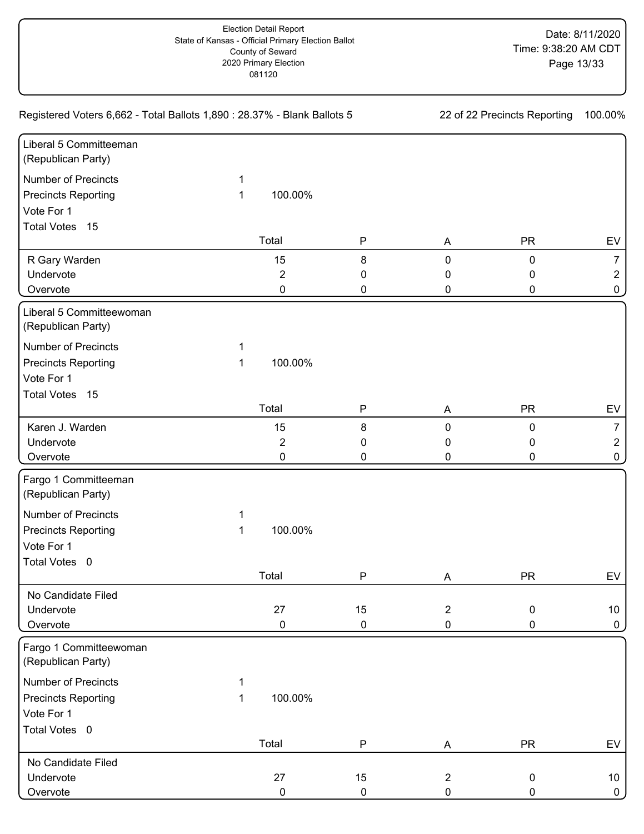| Registered Voters 6,662 - Total Ballots 1,890 : 28.37% - Blank Ballots 5 | 22 of 22 Precincts Reporting |                | 100.00%      |                |           |                 |
|--------------------------------------------------------------------------|------------------------------|----------------|--------------|----------------|-----------|-----------------|
| Liberal 5 Committeeman<br>(Republican Party)                             |                              |                |              |                |           |                 |
| <b>Number of Precincts</b>                                               | 1                            |                |              |                |           |                 |
| <b>Precincts Reporting</b>                                               | 1                            | 100.00%        |              |                |           |                 |
| Vote For 1                                                               |                              |                |              |                |           |                 |
| Total Votes 15                                                           |                              |                |              |                |           |                 |
|                                                                          |                              | Total          | ${\sf P}$    | A              | <b>PR</b> | EV              |
| R Gary Warden                                                            |                              | 15             | 8            | 0              | 0         | $\overline{7}$  |
| Undervote                                                                |                              | $\overline{2}$ | 0            | 0              | 0         | $\overline{2}$  |
| Overvote                                                                 |                              | 0              | 0            | 0              | 0         | 0               |
| Liberal 5 Committeewoman<br>(Republican Party)                           |                              |                |              |                |           |                 |
| <b>Number of Precincts</b>                                               | 1                            |                |              |                |           |                 |
| <b>Precincts Reporting</b>                                               | 1                            | 100.00%        |              |                |           |                 |
| Vote For 1                                                               |                              |                |              |                |           |                 |
| Total Votes 15                                                           |                              |                |              |                |           |                 |
|                                                                          |                              | Total          | P            | Α              | <b>PR</b> | EV              |
| Karen J. Warden                                                          |                              | 15             | 8            | $\mathbf 0$    | 0         | 7               |
| Undervote                                                                |                              | $\overline{2}$ | 0            | 0              | 0         | $\overline{2}$  |
| Overvote                                                                 |                              | 0              | 0            | 0              | 0         | 0               |
| Fargo 1 Committeeman<br>(Republican Party)                               |                              |                |              |                |           |                 |
| <b>Number of Precincts</b>                                               | 1                            |                |              |                |           |                 |
| <b>Precincts Reporting</b>                                               | 1                            | 100.00%        |              |                |           |                 |
| Vote For 1                                                               |                              |                |              |                |           |                 |
| Total Votes 0                                                            |                              |                |              |                |           |                 |
|                                                                          |                              | Total          | $\mathsf{P}$ | Α              | <b>PR</b> | EV              |
| No Candidate Filed                                                       |                              |                |              |                |           |                 |
| Undervote                                                                |                              | 27             | 15           | $\overline{2}$ | 0         | 10 <sup>°</sup> |
| Overvote                                                                 |                              | 0              | 0            | $\pmb{0}$      | 0         | 0               |
| Fargo 1 Committeewoman<br>(Republican Party)                             |                              |                |              |                |           |                 |
| <b>Number of Precincts</b>                                               | 1                            |                |              |                |           |                 |
| <b>Precincts Reporting</b>                                               | 1                            | 100.00%        |              |                |           |                 |
| Vote For 1                                                               |                              |                |              |                |           |                 |
| Total Votes 0                                                            |                              |                |              |                |           |                 |
|                                                                          |                              | Total          | ${\sf P}$    | A              | <b>PR</b> | EV              |
| No Candidate Filed                                                       |                              |                |              |                |           |                 |
| Undervote                                                                |                              | 27             | 15           | $\overline{c}$ | 0         | 10              |
| Overvote                                                                 |                              | $\pmb{0}$      | $\pmb{0}$    | $\pmb{0}$      | 0         | $\mathbf{0}$    |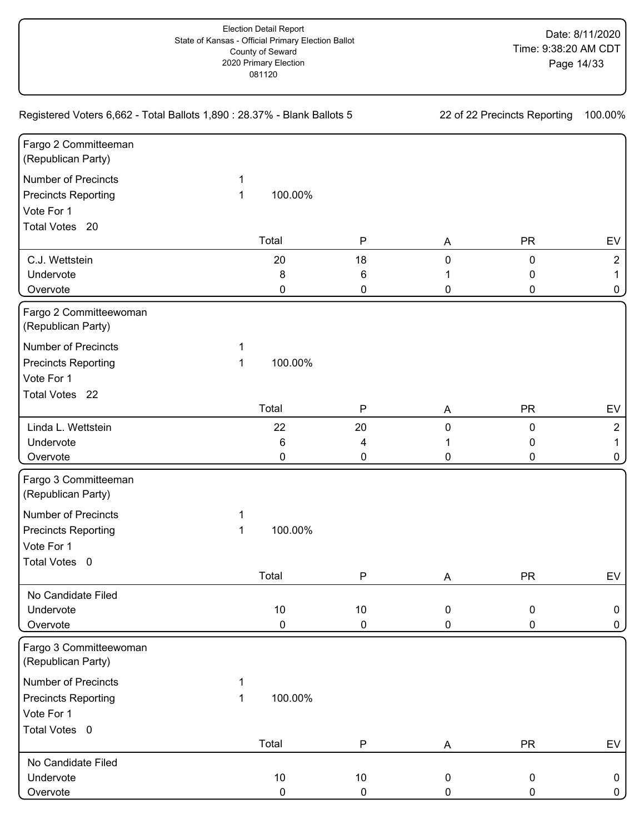| Registered Voters 6,662 - Total Ballots 1,890 : 28.37% - Blank Ballots 5 | 22 of 22 Precincts Reporting |           | 100.00%      |             |           |                |
|--------------------------------------------------------------------------|------------------------------|-----------|--------------|-------------|-----------|----------------|
| Fargo 2 Committeeman<br>(Republican Party)                               |                              |           |              |             |           |                |
| <b>Number of Precincts</b>                                               | 1                            |           |              |             |           |                |
| <b>Precincts Reporting</b>                                               | 1                            | 100.00%   |              |             |           |                |
| Vote For 1                                                               |                              |           |              |             |           |                |
| Total Votes 20                                                           |                              |           |              |             |           |                |
|                                                                          |                              | Total     | ${\sf P}$    | A           | <b>PR</b> | EV             |
| C.J. Wettstein                                                           |                              | 20        | 18           | 0           | 0         | $\overline{2}$ |
| Undervote                                                                |                              | 8         | 6            |             | 0         | 1.             |
| Overvote                                                                 |                              | 0         | 0            | 0           | 0         | 0              |
| Fargo 2 Committeewoman<br>(Republican Party)                             |                              |           |              |             |           |                |
| <b>Number of Precincts</b>                                               | 1                            |           |              |             |           |                |
| <b>Precincts Reporting</b>                                               | 1                            | 100.00%   |              |             |           |                |
| Vote For 1                                                               |                              |           |              |             |           |                |
| Total Votes 22                                                           |                              |           |              |             |           |                |
|                                                                          |                              | Total     | P            | A           | <b>PR</b> | EV             |
| Linda L. Wettstein                                                       |                              | 22        | 20           | 0           | 0         | $\overline{2}$ |
| Undervote                                                                |                              | 6         | 4            |             | 0         | 1              |
| Overvote                                                                 |                              | 0         | 0            | 0           | 0         | 0              |
| Fargo 3 Committeeman<br>(Republican Party)                               |                              |           |              |             |           |                |
| <b>Number of Precincts</b>                                               | 1                            |           |              |             |           |                |
| <b>Precincts Reporting</b>                                               | 1                            | 100.00%   |              |             |           |                |
| Vote For 1                                                               |                              |           |              |             |           |                |
| Total Votes 0                                                            |                              |           |              |             |           |                |
|                                                                          |                              | Total     | $\mathsf{P}$ | Α           | <b>PR</b> | EV             |
| No Candidate Filed                                                       |                              |           |              |             |           |                |
| Undervote                                                                |                              | 10        | 10           | $\mathbf 0$ | 0         | 0              |
| Overvote                                                                 |                              | 0         | $\pmb{0}$    | 0           | 0         | 0              |
| Fargo 3 Committeewoman<br>(Republican Party)                             |                              |           |              |             |           |                |
| <b>Number of Precincts</b>                                               | 1                            |           |              |             |           |                |
| <b>Precincts Reporting</b>                                               | 1                            | 100.00%   |              |             |           |                |
| Vote For 1                                                               |                              |           |              |             |           |                |
| Total Votes 0                                                            |                              |           |              |             |           |                |
|                                                                          |                              | Total     | ${\sf P}$    | A           | <b>PR</b> | EV             |
| No Candidate Filed                                                       |                              |           |              |             |           |                |
| Undervote                                                                |                              | $10$      | $10$         | 0           | 0         | 0              |
| Overvote                                                                 |                              | $\pmb{0}$ | $\pmb{0}$    | 0           | 0         | $\mathbf{0}$   |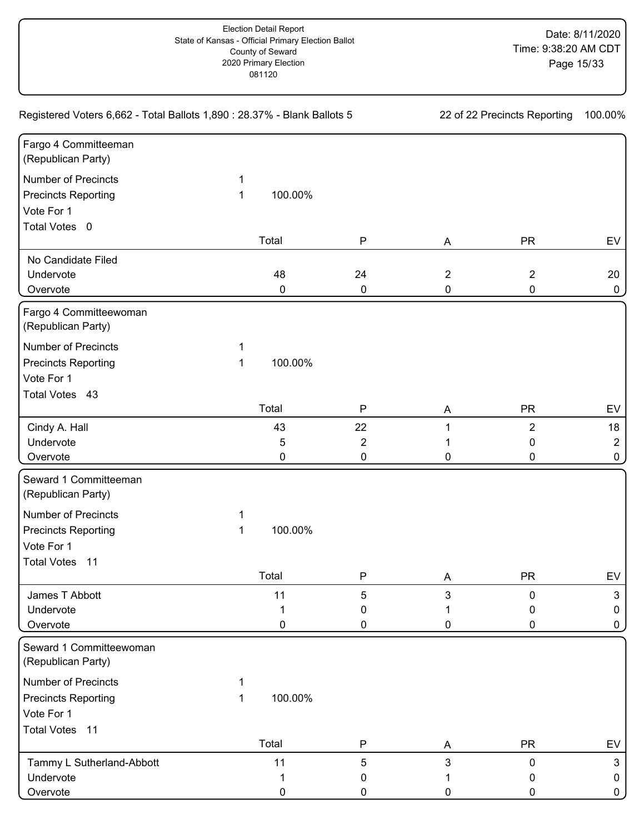| Registered Voters 6,662 - Total Ballots 1,890 : 28.37% - Blank Ballots 5 | 22 of 22 Precincts Reporting |         | 100.00%   |                |                |                |
|--------------------------------------------------------------------------|------------------------------|---------|-----------|----------------|----------------|----------------|
| Fargo 4 Committeeman<br>(Republican Party)                               |                              |         |           |                |                |                |
| <b>Number of Precincts</b>                                               | 1                            |         |           |                |                |                |
| <b>Precincts Reporting</b>                                               | 1                            | 100.00% |           |                |                |                |
| Vote For 1                                                               |                              |         |           |                |                |                |
| Total Votes 0                                                            |                              |         |           |                |                |                |
|                                                                          |                              | Total   | ${\sf P}$ | A              | <b>PR</b>      | EV             |
| No Candidate Filed                                                       |                              |         |           |                |                |                |
| Undervote                                                                |                              | 48      | 24        | $\overline{2}$ | $\overline{2}$ | 20             |
| Overvote                                                                 |                              | 0       | $\pmb{0}$ | $\pmb{0}$      | 0              | 0              |
| Fargo 4 Committeewoman<br>(Republican Party)                             |                              |         |           |                |                |                |
| <b>Number of Precincts</b>                                               | 1                            |         |           |                |                |                |
| <b>Precincts Reporting</b>                                               | 1                            | 100.00% |           |                |                |                |
| Vote For 1                                                               |                              |         |           |                |                |                |
| Total Votes 43                                                           |                              |         |           |                |                |                |
|                                                                          |                              | Total   | P         | A              | <b>PR</b>      | EV             |
| Cindy A. Hall                                                            |                              | 43      | 22        | 1              | $\overline{2}$ | 18             |
| Undervote                                                                |                              | 5       | 2         |                | 0              | $\overline{2}$ |
| Overvote                                                                 |                              | 0       | 0         | 0              | 0              | 0              |
| Seward 1 Committeeman<br>(Republican Party)                              |                              |         |           |                |                |                |
| <b>Number of Precincts</b>                                               | 1                            |         |           |                |                |                |
| <b>Precincts Reporting</b>                                               | 1                            | 100.00% |           |                |                |                |
| Vote For 1                                                               |                              |         |           |                |                |                |
| <b>Total Votes</b><br>$-11$                                              |                              |         |           |                |                |                |
|                                                                          |                              | Total   | ${\sf P}$ | Α              | <b>PR</b>      | EV             |
| James T Abbott                                                           |                              | 11      | 5         | 3              | 0              | $\mathbf{3}$   |
| Undervote                                                                |                              |         | 0         |                | 0              | 0              |
| Overvote                                                                 |                              | 0       | 0         | 0              | 0              | 0              |
| Seward 1 Committeewoman<br>(Republican Party)                            |                              |         |           |                |                |                |
| <b>Number of Precincts</b>                                               |                              |         |           |                |                |                |
| <b>Precincts Reporting</b>                                               | 1                            | 100.00% |           |                |                |                |
| Vote For 1                                                               |                              |         |           |                |                |                |
| Total Votes 11                                                           |                              |         |           |                |                |                |
|                                                                          |                              | Total   | P         | Α              | <b>PR</b>      | EV             |
| Tammy L Sutherland-Abbott                                                |                              | 11      | 5         | $\mathbf{3}$   | 0              | $\mathbf{3}$   |
| Undervote                                                                |                              |         | 0         |                | 0              | 0              |
| Overvote                                                                 |                              | 0       | 0         | 0              | 0              | 0              |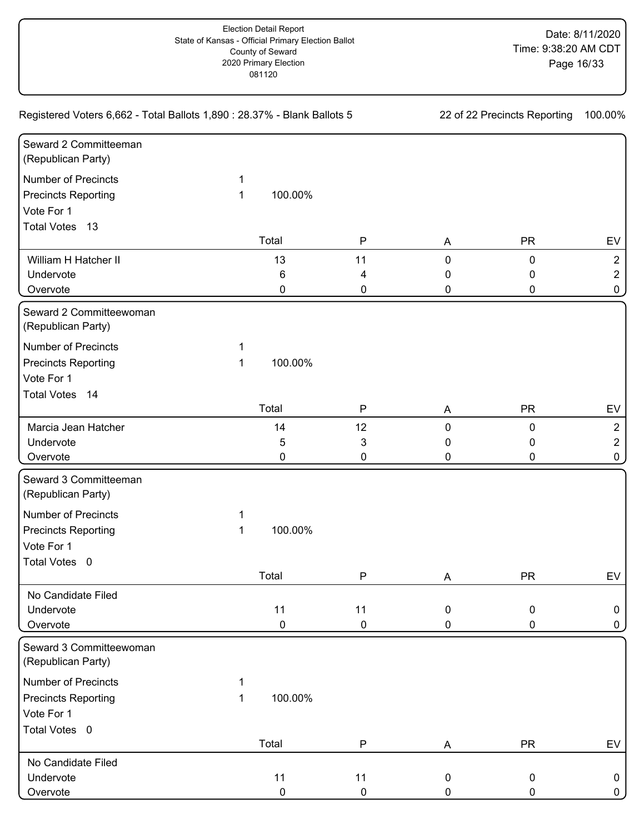| Registered Voters 6,662 - Total Ballots 1,890 : 28.37% - Blank Ballots 5 | 22 of 22 Precincts Reporting |           | 100.00%      |             |           |                |
|--------------------------------------------------------------------------|------------------------------|-----------|--------------|-------------|-----------|----------------|
| Seward 2 Committeeman<br>(Republican Party)                              |                              |           |              |             |           |                |
| <b>Number of Precincts</b>                                               | 1                            |           |              |             |           |                |
| <b>Precincts Reporting</b>                                               | 1                            | 100.00%   |              |             |           |                |
| Vote For 1                                                               |                              |           |              |             |           |                |
| Total Votes 13                                                           |                              |           |              |             |           |                |
|                                                                          |                              | Total     | $\mathsf{P}$ | A           | <b>PR</b> | EV             |
| William H Hatcher II                                                     |                              | 13        | 11           | 0           | 0         | $\overline{2}$ |
| Undervote                                                                |                              | 6         | 4            | 0           | 0         | $\overline{2}$ |
| Overvote                                                                 |                              | 0         | 0            | 0           | 0         | 0              |
| Seward 2 Committeewoman<br>(Republican Party)                            |                              |           |              |             |           |                |
| <b>Number of Precincts</b>                                               | 1                            |           |              |             |           |                |
| <b>Precincts Reporting</b>                                               | 1                            | 100.00%   |              |             |           |                |
| Vote For 1                                                               |                              |           |              |             |           |                |
| Total Votes 14                                                           |                              |           |              |             |           |                |
|                                                                          |                              | Total     | P            | A           | <b>PR</b> | EV             |
| Marcia Jean Hatcher                                                      |                              | 14        | 12           | 0           | 0         | $\overline{2}$ |
| Undervote                                                                |                              | 5         | 3            | 0           | 0         | $\overline{2}$ |
| Overvote                                                                 |                              | 0         | 0            | 0           | 0         | 0              |
| Seward 3 Committeeman<br>(Republican Party)                              |                              |           |              |             |           |                |
| <b>Number of Precincts</b>                                               | 1                            |           |              |             |           |                |
| <b>Precincts Reporting</b>                                               | 1                            | 100.00%   |              |             |           |                |
| Vote For 1                                                               |                              |           |              |             |           |                |
| Total Votes 0                                                            |                              |           |              |             |           |                |
|                                                                          |                              | Total     | $\mathsf{P}$ | Α           | <b>PR</b> | EV             |
| No Candidate Filed                                                       |                              |           |              |             |           |                |
| Undervote                                                                |                              | 11        | 11           | $\mathbf 0$ | 0         | 0              |
| Overvote                                                                 |                              | $\pmb{0}$ | $\pmb{0}$    | 0           | 0         | 0              |
| Seward 3 Committeewoman<br>(Republican Party)                            |                              |           |              |             |           |                |
| <b>Number of Precincts</b>                                               | 1                            |           |              |             |           |                |
| <b>Precincts Reporting</b>                                               | 1                            | 100.00%   |              |             |           |                |
| Vote For 1                                                               |                              |           |              |             |           |                |
| Total Votes 0                                                            |                              |           |              |             |           |                |
|                                                                          |                              | Total     | ${\sf P}$    | A           | <b>PR</b> | EV             |
| No Candidate Filed                                                       |                              |           |              |             |           |                |
| Undervote                                                                |                              | 11        | 11           | 0           | 0         | 0              |
| Overvote                                                                 |                              | $\pmb{0}$ | $\pmb{0}$    | $\pmb{0}$   | 0         | $\mathbf{0}$   |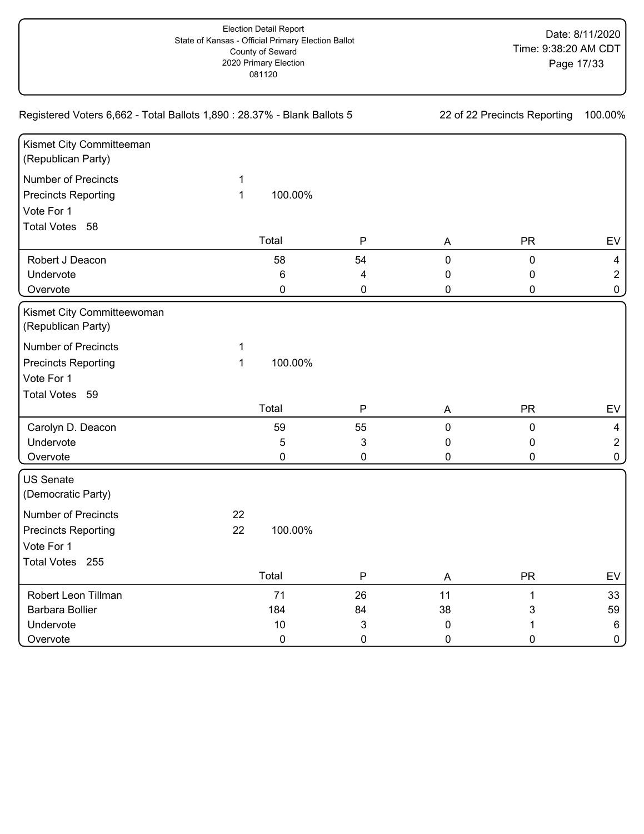| Kismet City Committeeman<br>(Republican Party) |              |           |                           |             |              |                |
|------------------------------------------------|--------------|-----------|---------------------------|-------------|--------------|----------------|
| <b>Number of Precincts</b>                     | $\mathbf 1$  |           |                           |             |              |                |
| <b>Precincts Reporting</b>                     | $\mathbf{1}$ | 100.00%   |                           |             |              |                |
| Vote For 1                                     |              |           |                           |             |              |                |
| Total Votes 58                                 |              |           |                           |             |              |                |
|                                                |              | Total     | $\mathsf{P}$              | A           | <b>PR</b>    | EV             |
| Robert J Deacon                                |              | 58        | 54                        | $\mathbf 0$ | $\pmb{0}$    | $\overline{4}$ |
| Undervote                                      |              | 6         | 4                         | 0           | 0            | $\overline{2}$ |
| Overvote                                       |              | $\pmb{0}$ | $\pmb{0}$                 | 0           | $\mathbf 0$  | $\pmb{0}$      |
| Kismet City Committeewoman                     |              |           |                           |             |              |                |
| (Republican Party)                             |              |           |                           |             |              |                |
| <b>Number of Precincts</b>                     | $\mathbf 1$  |           |                           |             |              |                |
| <b>Precincts Reporting</b>                     | $\mathbf{1}$ | 100.00%   |                           |             |              |                |
| Vote For 1                                     |              |           |                           |             |              |                |
| Total Votes 59                                 |              |           |                           |             |              |                |
|                                                |              | Total     | $\mathsf{P}$              | A           | <b>PR</b>    | EV             |
| Carolyn D. Deacon                              |              | 59        | 55                        | $\pmb{0}$   | $\pmb{0}$    | $\overline{4}$ |
| Undervote                                      |              | 5         | $\ensuremath{\mathsf{3}}$ | 0           | 0            | $\overline{2}$ |
| Overvote                                       |              | $\pmb{0}$ | $\pmb{0}$                 | 0           | $\mathbf 0$  | $\pmb{0}$      |
| <b>US Senate</b><br>(Democratic Party)         |              |           |                           |             |              |                |
| <b>Number of Precincts</b>                     | 22           |           |                           |             |              |                |
| <b>Precincts Reporting</b>                     | 22           | 100.00%   |                           |             |              |                |
| Vote For 1                                     |              |           |                           |             |              |                |
| Total Votes 255                                |              |           |                           |             |              |                |
|                                                |              | Total     | $\mathsf{P}$              | A           | <b>PR</b>    | EV             |
| Robert Leon Tillman                            |              | 71        | 26                        | 11          | $\mathbf{1}$ | 33             |
| <b>Barbara Bollier</b>                         |              | 184       | 84                        | 38          | 3            | 59             |
| Undervote                                      |              | 10        | 3                         | 0           |              | $\,6\,$        |
| Overvote                                       |              | $\pmb{0}$ | $\mathbf 0$               | $\mathbf 0$ | 0            | $\pmb{0}$      |

Registered Voters 6,662 - Total Ballots 1,890 : 28.37% - Blank Ballots 5 22 of 22 Precincts Reporting 100.00%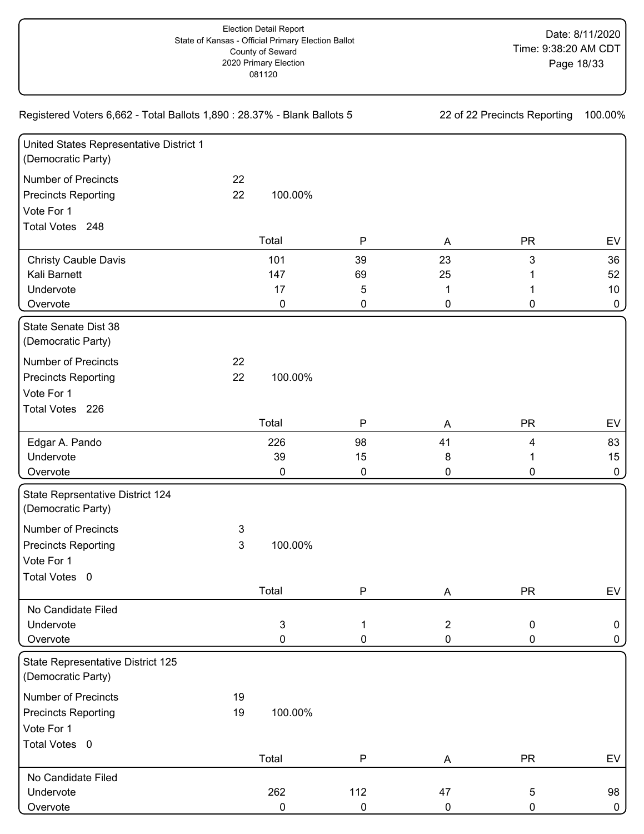Registered Voters 6,662 - Total Ballots 1,890 : 28.37% - Blank Ballots 5 22 of 22 Precincts Reporting 100.00%

| United States Representative District 1<br>(Democratic Party) |              |           |              |                |             |           |
|---------------------------------------------------------------|--------------|-----------|--------------|----------------|-------------|-----------|
| <b>Number of Precincts</b>                                    | 22           |           |              |                |             |           |
| <b>Precincts Reporting</b>                                    | 22           | 100.00%   |              |                |             |           |
| Vote For 1                                                    |              |           |              |                |             |           |
| Total Votes 248                                               |              |           |              |                |             |           |
|                                                               |              | Total     | $\mathsf{P}$ | A              | <b>PR</b>   | EV        |
| <b>Christy Cauble Davis</b>                                   |              | 101       | 39           | 23             | 3           | 36        |
| Kali Barnett                                                  |              | 147       | 69           | 25             |             | 52        |
| Undervote                                                     |              | 17        | 5            | 1              | 1           | 10        |
| Overvote                                                      |              | $\pmb{0}$ | 0            | 0              | 0           | $\pmb{0}$ |
| State Senate Dist 38<br>(Democratic Party)                    |              |           |              |                |             |           |
| <b>Number of Precincts</b>                                    | 22           |           |              |                |             |           |
| <b>Precincts Reporting</b>                                    | 22           | 100.00%   |              |                |             |           |
| Vote For 1                                                    |              |           |              |                |             |           |
| Total Votes 226                                               |              |           |              |                |             |           |
|                                                               |              | Total     | $\mathsf{P}$ | A              | <b>PR</b>   | EV        |
| Edgar A. Pando                                                |              | 226       | 98           | 41             | 4           | 83        |
| Undervote                                                     |              | 39        | 15           | $\bf 8$        | 1           | 15        |
| Overvote                                                      |              | 0         | 0            | 0              | 0           | $\pmb{0}$ |
| State Reprsentative District 124<br>(Democratic Party)        |              |           |              |                |             |           |
| <b>Number of Precincts</b>                                    | 3            |           |              |                |             |           |
| <b>Precincts Reporting</b>                                    | $\mathbf{3}$ | 100.00%   |              |                |             |           |
| Vote For 1                                                    |              |           |              |                |             |           |
| Total Votes 0                                                 |              |           |              |                |             |           |
|                                                               |              | Total     | $\mathsf{P}$ | Α              | <b>PR</b>   | EV        |
| No Candidate Filed                                            |              |           |              |                |             |           |
| Undervote                                                     |              | 3         | 1            | $\overline{2}$ | $\mathsf 0$ | 0         |
| Overvote                                                      |              | 0         | 0            | 0              | $\mathbf 0$ | 0         |
| State Representative District 125<br>(Democratic Party)       |              |           |              |                |             |           |
| <b>Number of Precincts</b>                                    | 19           |           |              |                |             |           |
| <b>Precincts Reporting</b>                                    | 19           | 100.00%   |              |                |             |           |
| Vote For 1                                                    |              |           |              |                |             |           |
| Total Votes 0                                                 |              |           |              |                |             |           |
|                                                               |              | Total     | ${\sf P}$    | A              | <b>PR</b>   | EV        |
| No Candidate Filed                                            |              |           |              |                |             |           |
| Undervote                                                     |              | 262       | 112          | 47             | $\sqrt{5}$  | 98        |
| Overvote                                                      |              | 0         | 0            | $\pmb{0}$      | 0           | 0         |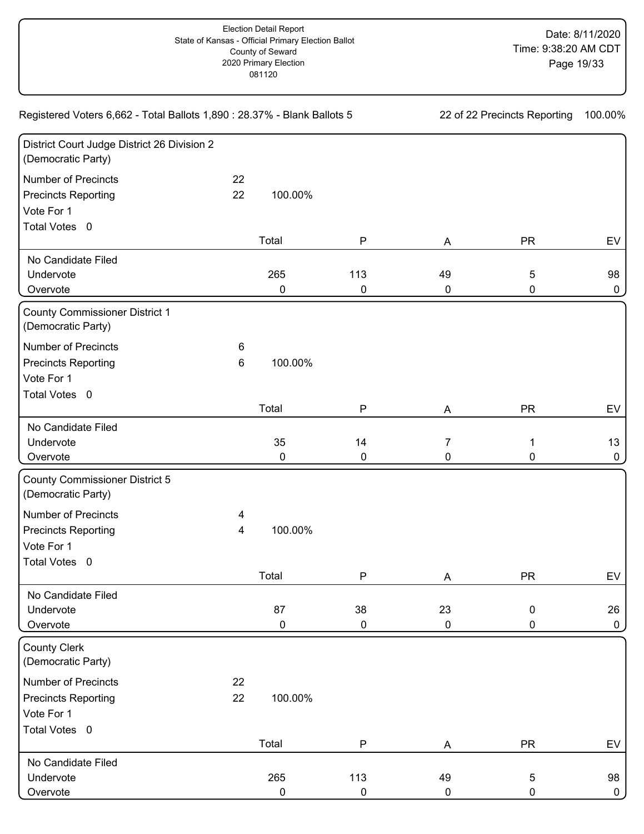| Registered Voters 6,662 - Total Ballots 1,890 : 28.37% - Blank Ballots 5 | 22 of 22 Precincts Reporting |           | 100.00%      |           |            |              |
|--------------------------------------------------------------------------|------------------------------|-----------|--------------|-----------|------------|--------------|
| District Court Judge District 26 Division 2<br>(Democratic Party)        |                              |           |              |           |            |              |
| <b>Number of Precincts</b>                                               | 22                           |           |              |           |            |              |
| <b>Precincts Reporting</b>                                               | 22                           | 100.00%   |              |           |            |              |
| Vote For 1                                                               |                              |           |              |           |            |              |
| Total Votes 0                                                            |                              |           |              |           |            |              |
|                                                                          |                              | Total     | ${\sf P}$    | A         | <b>PR</b>  | EV           |
| No Candidate Filed                                                       |                              |           |              |           |            |              |
| Undervote                                                                |                              | 265       | 113          | 49        | 5          | 98           |
| Overvote                                                                 |                              | 0         | 0            | $\pmb{0}$ | 0          | 0            |
| <b>County Commissioner District 1</b><br>(Democratic Party)              |                              |           |              |           |            |              |
| <b>Number of Precincts</b>                                               | 6                            |           |              |           |            |              |
| <b>Precincts Reporting</b>                                               | $6\phantom{1}$               | 100.00%   |              |           |            |              |
| Vote For 1                                                               |                              |           |              |           |            |              |
| Total Votes 0                                                            |                              |           |              |           |            |              |
|                                                                          |                              | Total     | P            | Α         | <b>PR</b>  | EV           |
| No Candidate Filed                                                       |                              |           |              |           |            |              |
| Undervote                                                                |                              | 35        | 14           | 7         | 1          | 13           |
| Overvote                                                                 |                              | 0         | 0            | 0         | 0          | 0            |
| <b>County Commissioner District 5</b><br>(Democratic Party)              |                              |           |              |           |            |              |
| <b>Number of Precincts</b>                                               | 4                            |           |              |           |            |              |
| <b>Precincts Reporting</b>                                               | 4                            | 100.00%   |              |           |            |              |
| Vote For 1                                                               |                              |           |              |           |            |              |
| Total Votes 0                                                            |                              |           |              |           |            |              |
|                                                                          |                              | Total     | $\mathsf{P}$ | Α         | <b>PR</b>  | EV           |
| No Candidate Filed                                                       |                              |           |              |           |            |              |
| Undervote                                                                |                              | 87        | 38           | 23        | 0          | 26           |
| Overvote                                                                 |                              | 0         | $\pmb{0}$    | $\pmb{0}$ | 0          | $\mathsf{O}$ |
| <b>County Clerk</b><br>(Democratic Party)                                |                              |           |              |           |            |              |
| <b>Number of Precincts</b>                                               | 22                           |           |              |           |            |              |
| <b>Precincts Reporting</b>                                               | 22                           | 100.00%   |              |           |            |              |
| Vote For 1                                                               |                              |           |              |           |            |              |
| Total Votes 0                                                            |                              |           |              |           |            |              |
|                                                                          |                              | Total     | ${\sf P}$    | A         | <b>PR</b>  | EV           |
| No Candidate Filed                                                       |                              |           |              |           |            |              |
| Undervote                                                                |                              | 265       | 113          | 49        | $\sqrt{5}$ | 98           |
| Overvote                                                                 |                              | $\pmb{0}$ | $\pmb{0}$    | $\pmb{0}$ | 0          | $\mathbf{0}$ |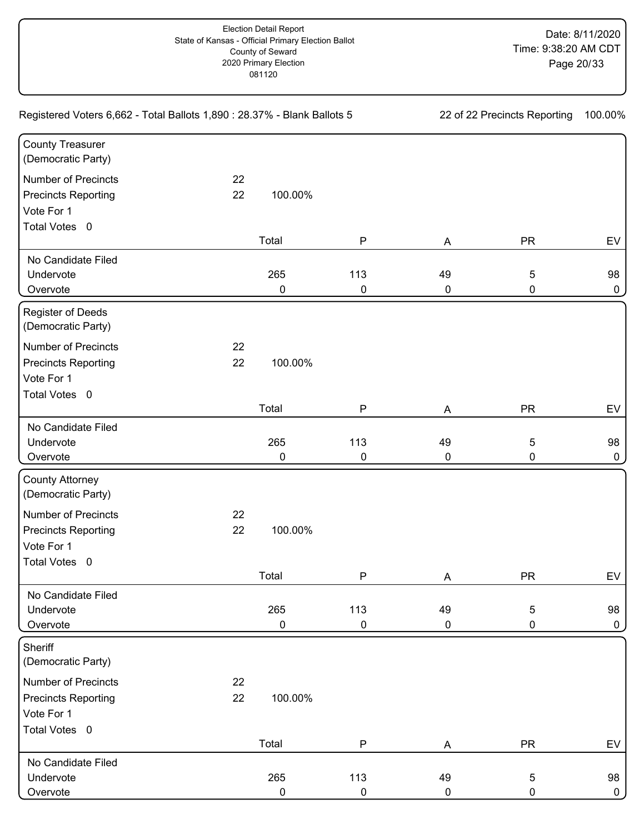| Registered Voters 6,662 - Total Ballots 1,890 : 28.37% - Blank Ballots 5 | 22 of 22 Precincts Reporting |           | 100.00%   |           |            |              |
|--------------------------------------------------------------------------|------------------------------|-----------|-----------|-----------|------------|--------------|
| <b>County Treasurer</b><br>(Democratic Party)                            |                              |           |           |           |            |              |
| <b>Number of Precincts</b>                                               | 22                           |           |           |           |            |              |
| <b>Precincts Reporting</b>                                               | 22                           | 100.00%   |           |           |            |              |
| Vote For 1                                                               |                              |           |           |           |            |              |
| Total Votes 0                                                            |                              |           |           |           |            |              |
|                                                                          |                              | Total     | ${\sf P}$ | A         | <b>PR</b>  | EV           |
| No Candidate Filed                                                       |                              |           |           |           |            |              |
| Undervote                                                                |                              | 265       | 113       | 49        | 5          | 98           |
| Overvote                                                                 |                              | 0         | $\pmb{0}$ | $\pmb{0}$ | 0          | 0            |
| Register of Deeds<br>(Democratic Party)                                  |                              |           |           |           |            |              |
| <b>Number of Precincts</b>                                               | 22                           |           |           |           |            |              |
| <b>Precincts Reporting</b>                                               | 22                           | 100.00%   |           |           |            |              |
| Vote For 1                                                               |                              |           |           |           |            |              |
| Total Votes 0                                                            |                              |           |           |           |            |              |
|                                                                          |                              | Total     | ${\sf P}$ | A         | <b>PR</b>  | EV           |
| No Candidate Filed                                                       |                              |           |           |           |            |              |
| Undervote                                                                |                              | 265       | 113       | 49        | 5          | 98           |
| Overvote                                                                 |                              | 0         | $\pmb{0}$ | 0         | 0          | 0            |
| <b>County Attorney</b><br>(Democratic Party)                             |                              |           |           |           |            |              |
| <b>Number of Precincts</b>                                               | 22                           |           |           |           |            |              |
| <b>Precincts Reporting</b>                                               | 22                           | 100.00%   |           |           |            |              |
| Vote For 1                                                               |                              |           |           |           |            |              |
| Total Votes 0                                                            |                              |           |           |           |            |              |
|                                                                          |                              | Total     | ${\sf P}$ | Α         | <b>PR</b>  | EV           |
| No Candidate Filed                                                       |                              |           |           |           |            |              |
| Undervote                                                                |                              | 265       | 113       | 49        | 5          | 98           |
| Overvote                                                                 |                              | 0         | 0         | $\pmb{0}$ | 0          | 0            |
| Sheriff                                                                  |                              |           |           |           |            |              |
| (Democratic Party)                                                       |                              |           |           |           |            |              |
| <b>Number of Precincts</b>                                               | 22                           |           |           |           |            |              |
| <b>Precincts Reporting</b>                                               | 22                           | 100.00%   |           |           |            |              |
| Vote For 1                                                               |                              |           |           |           |            |              |
| Total Votes 0                                                            |                              |           |           |           |            |              |
|                                                                          |                              | Total     | ${\sf P}$ | A         | <b>PR</b>  | EV           |
| No Candidate Filed                                                       |                              |           |           |           |            |              |
| Undervote                                                                |                              | 265       | 113       | 49        | $\sqrt{5}$ | 98           |
| Overvote                                                                 |                              | $\pmb{0}$ | $\pmb{0}$ | 0         | 0          | $\mathbf{0}$ |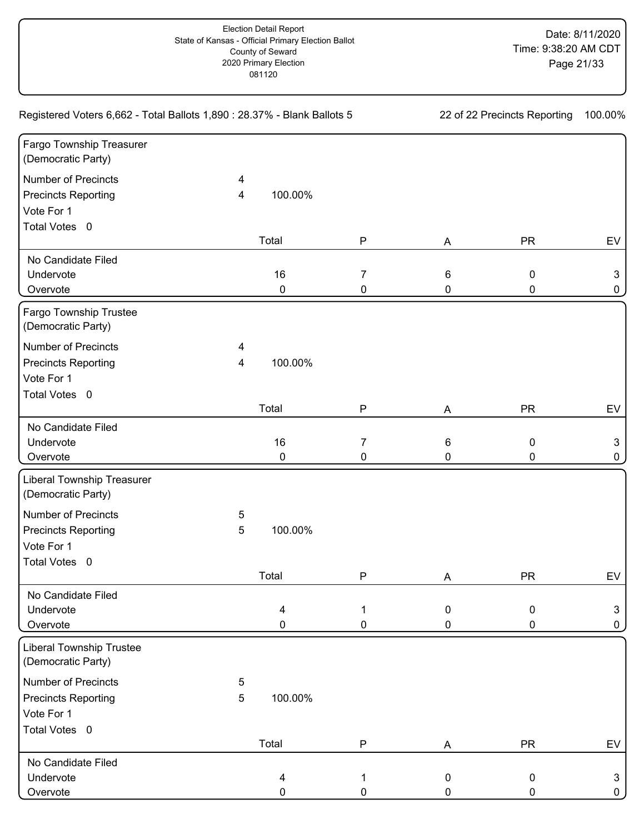| Registered Voters 6,662 - Total Ballots 1,890 : 28.37% - Blank Ballots 5 | 22 of 22 Precincts Reporting |           | 100.00%   |                 |           |              |
|--------------------------------------------------------------------------|------------------------------|-----------|-----------|-----------------|-----------|--------------|
| Fargo Township Treasurer<br>(Democratic Party)                           |                              |           |           |                 |           |              |
| <b>Number of Precincts</b>                                               | 4                            |           |           |                 |           |              |
| <b>Precincts Reporting</b>                                               | 4                            | 100.00%   |           |                 |           |              |
| Vote For 1                                                               |                              |           |           |                 |           |              |
| Total Votes 0                                                            |                              |           |           |                 |           |              |
|                                                                          |                              | Total     | ${\sf P}$ | A               | <b>PR</b> | EV           |
| No Candidate Filed                                                       |                              |           |           |                 |           |              |
| Undervote                                                                |                              | 16        | 7         | $6\phantom{1}6$ | 0         | $\mathbf{3}$ |
| Overvote                                                                 |                              | $\pmb{0}$ | 0         | 0               | 0         | 0            |
| Fargo Township Trustee<br>(Democratic Party)                             |                              |           |           |                 |           |              |
| <b>Number of Precincts</b>                                               | 4                            |           |           |                 |           |              |
| <b>Precincts Reporting</b>                                               | 4                            | 100.00%   |           |                 |           |              |
| Vote For 1                                                               |                              |           |           |                 |           |              |
| Total Votes 0                                                            |                              |           |           |                 |           |              |
|                                                                          |                              | Total     | P         | A               | <b>PR</b> | EV           |
| No Candidate Filed                                                       |                              |           |           |                 |           |              |
| Undervote                                                                |                              | 16        | 7         | 6               | 0         | 3            |
| Overvote                                                                 |                              | 0         | 0         | 0               | 0         | 0            |
| <b>Liberal Township Treasurer</b><br>(Democratic Party)                  |                              |           |           |                 |           |              |
| <b>Number of Precincts</b>                                               | 5                            |           |           |                 |           |              |
| <b>Precincts Reporting</b>                                               | 5                            | 100.00%   |           |                 |           |              |
| Vote For 1                                                               |                              |           |           |                 |           |              |
| Total Votes 0                                                            |                              |           |           |                 |           |              |
|                                                                          |                              | Total     | ${\sf P}$ | Α               | <b>PR</b> | EV           |
| No Candidate Filed                                                       |                              |           |           |                 |           |              |
| Undervote                                                                |                              | 4         | 1         | $\mathbf 0$     | 0         | 3            |
| Overvote                                                                 |                              | 0         | 0         | 0               | 0         | 0            |
| <b>Liberal Township Trustee</b><br>(Democratic Party)                    |                              |           |           |                 |           |              |
| <b>Number of Precincts</b>                                               | 5                            |           |           |                 |           |              |
| <b>Precincts Reporting</b>                                               | 5                            | 100.00%   |           |                 |           |              |
| Vote For 1                                                               |                              |           |           |                 |           |              |
| Total Votes 0                                                            |                              |           |           |                 |           |              |
|                                                                          |                              | Total     | P         | A               | <b>PR</b> | EV           |
| No Candidate Filed                                                       |                              |           |           |                 |           |              |
| Undervote                                                                |                              | 4         | 1         | $\mathbf 0$     | 0         | $\mathbf{3}$ |
| Overvote                                                                 |                              | 0         | 0         | 0               | 0         | 0            |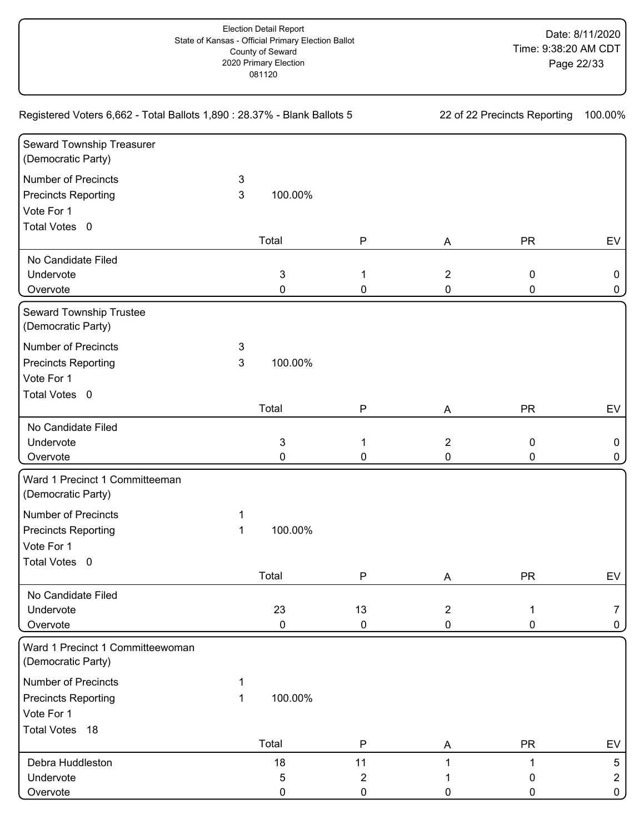| Registered Voters 6,662 - Total Ballots 1,890 : 28.37% - Blank Ballots 5 | 22 of 22 Precincts Reporting |         | 100.00%      |                |           |                |
|--------------------------------------------------------------------------|------------------------------|---------|--------------|----------------|-----------|----------------|
| Seward Township Treasurer<br>(Democratic Party)                          |                              |         |              |                |           |                |
| Number of Precincts                                                      | 3                            |         |              |                |           |                |
| <b>Precincts Reporting</b>                                               | 3                            | 100.00% |              |                |           |                |
| Vote For 1                                                               |                              |         |              |                |           |                |
| Total Votes 0                                                            |                              |         |              |                |           |                |
|                                                                          |                              | Total   | ${\sf P}$    | A              | <b>PR</b> | EV             |
| No Candidate Filed                                                       |                              |         |              |                |           |                |
| Undervote                                                                |                              | 3       | 1            | $\sqrt{2}$     | 0         | 0              |
| Overvote                                                                 |                              | 0       | 0            | 0              | 0         | 0              |
| Seward Township Trustee<br>(Democratic Party)                            |                              |         |              |                |           |                |
| <b>Number of Precincts</b>                                               | 3                            |         |              |                |           |                |
| <b>Precincts Reporting</b>                                               | $\mathsf 3$                  | 100.00% |              |                |           |                |
| Vote For 1                                                               |                              |         |              |                |           |                |
| Total Votes 0                                                            |                              |         |              |                |           |                |
|                                                                          |                              | Total   | P            | A              | <b>PR</b> | EV             |
| No Candidate Filed                                                       |                              |         |              |                |           |                |
| Undervote                                                                |                              | 3       | 1            | $\overline{2}$ | 0         | 0              |
| Overvote                                                                 |                              | 0       | 0            | 0              | 0         | 0              |
| Ward 1 Precinct 1 Committeeman<br>(Democratic Party)                     |                              |         |              |                |           |                |
| <b>Number of Precincts</b>                                               | 1                            |         |              |                |           |                |
| <b>Precincts Reporting</b>                                               | 1                            | 100.00% |              |                |           |                |
| Vote For 1                                                               |                              |         |              |                |           |                |
| Total Votes 0                                                            |                              |         |              |                |           |                |
|                                                                          |                              | Total   | $\mathsf{P}$ | Α              | <b>PR</b> | EV             |
| No Candidate Filed                                                       |                              |         |              |                |           |                |
| Undervote                                                                |                              | 23      | 13           | $\overline{2}$ | 1         | 7              |
| Overvote                                                                 |                              | 0       | 0            | $\pmb{0}$      | 0         | 0              |
| Ward 1 Precinct 1 Committeewoman<br>(Democratic Party)                   |                              |         |              |                |           |                |
| <b>Number of Precincts</b>                                               | 1                            |         |              |                |           |                |
| <b>Precincts Reporting</b>                                               | 1                            | 100.00% |              |                |           |                |
| Vote For 1                                                               |                              |         |              |                |           |                |
| Total Votes 18                                                           |                              |         |              |                |           |                |
|                                                                          |                              | Total   | P            | Α              | <b>PR</b> | EV             |
| Debra Huddleston                                                         |                              | 18      | 11           | 1              | 1         | 5              |
| Undervote                                                                |                              | 5       | 2            |                | 0         | $\overline{2}$ |
| Overvote                                                                 |                              | 0       | $\pmb{0}$    | 0              | 0         | $\mathbf 0$    |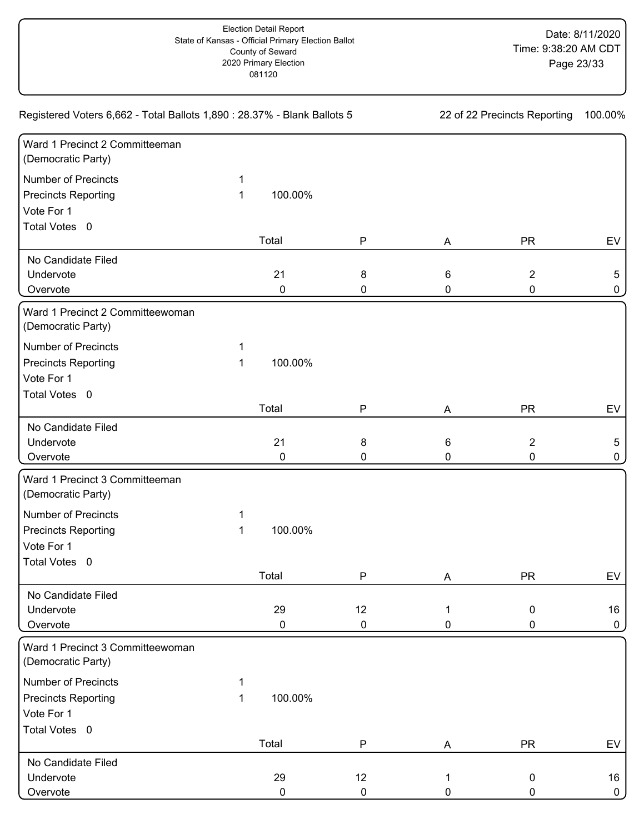| Registered Voters 6,662 - Total Ballots 1,890 : 28.37% - Blank Ballots 5                | 22 of 22 Precincts Reporting |                   | 100.00%         |        |                          |                      |
|-----------------------------------------------------------------------------------------|------------------------------|-------------------|-----------------|--------|--------------------------|----------------------|
| Ward 1 Precinct 2 Committeeman<br>(Democratic Party)                                    |                              |                   |                 |        |                          |                      |
| <b>Number of Precincts</b><br><b>Precincts Reporting</b><br>Vote For 1<br>Total Votes 0 | 1<br>1                       | 100.00%           |                 |        |                          |                      |
|                                                                                         |                              | Total             | P               | A      | <b>PR</b>                | EV                   |
| No Candidate Filed<br>Undervote<br>Overvote                                             |                              | 21<br>$\mathbf 0$ | 8<br>0          | 6<br>0 | $\overline{2}$<br>0      | 5<br>0               |
| Ward 1 Precinct 2 Committeewoman<br>(Democratic Party)                                  |                              |                   |                 |        |                          |                      |
| <b>Number of Precincts</b><br><b>Precincts Reporting</b><br>Vote For 1<br>Total Votes 0 | 1<br>1                       | 100.00%           |                 |        |                          |                      |
|                                                                                         |                              | Total             | $\mathsf{P}$    | Α      | <b>PR</b>                | EV                   |
| No Candidate Filed<br>Undervote<br>Overvote                                             |                              | 21<br>0           | 8<br>0          | 6<br>0 | $\overline{2}$<br>0      | $5\phantom{.0}$<br>0 |
| Ward 1 Precinct 3 Committeeman<br>(Democratic Party)                                    |                              |                   |                 |        |                          |                      |
| <b>Number of Precincts</b><br><b>Precincts Reporting</b><br>Vote For 1<br>Total Votes 0 | 1<br>1                       | 100.00%           |                 |        |                          |                      |
|                                                                                         |                              | Total             | P               | A      | <b>PR</b>                | EV                   |
| No Candidate Filed<br>Undervote<br>Overvote                                             |                              | 29<br>$\pmb{0}$   | 12<br>0         | 1<br>0 | $\mathbf 0$<br>0         | 16<br>0              |
| Ward 1 Precinct 3 Committeewoman<br>(Democratic Party)                                  |                              |                   |                 |        |                          |                      |
| <b>Number of Precincts</b><br><b>Precincts Reporting</b><br>Vote For 1                  | 1<br>1                       | 100.00%           |                 |        |                          |                      |
| Total Votes 0                                                                           |                              | Total             | ${\sf P}$       | A      | <b>PR</b>                | EV                   |
| No Candidate Filed<br>Undervote<br>Overvote                                             |                              | 29<br>$\pmb{0}$   | 12<br>$\pmb{0}$ | 1<br>0 | $\pmb{0}$<br>$\mathbf 0$ | 16<br>$\mathbf 0$    |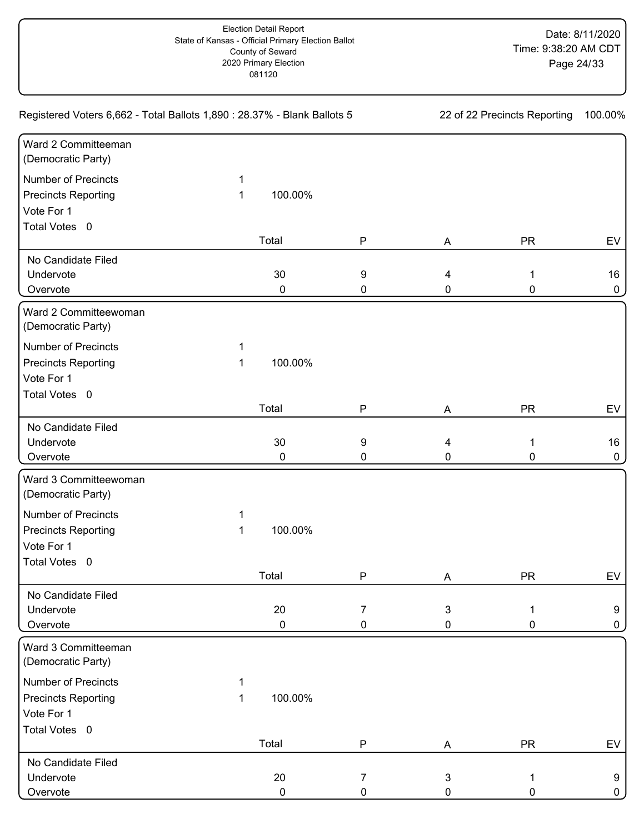| Registered Voters 6,662 - Total Ballots 1,890 : 28.37% - Blank Ballots 5 | 22 of 22 Precincts Reporting |         | 100.00%          |              |           |    |
|--------------------------------------------------------------------------|------------------------------|---------|------------------|--------------|-----------|----|
| Ward 2 Committeeman<br>(Democratic Party)                                |                              |         |                  |              |           |    |
| Number of Precincts                                                      | 1                            |         |                  |              |           |    |
| <b>Precincts Reporting</b>                                               | 1                            | 100.00% |                  |              |           |    |
| Vote For 1                                                               |                              |         |                  |              |           |    |
| Total Votes 0                                                            |                              |         |                  |              |           |    |
|                                                                          |                              | Total   | ${\sf P}$        | A            | <b>PR</b> | EV |
| No Candidate Filed                                                       |                              |         |                  |              |           |    |
| Undervote                                                                |                              | 30      | $\boldsymbol{9}$ | 4            | 1         | 16 |
| Overvote                                                                 |                              | 0       | 0                | 0            | 0         | 0  |
| Ward 2 Committeewoman<br>(Democratic Party)                              |                              |         |                  |              |           |    |
| <b>Number of Precincts</b>                                               | 1                            |         |                  |              |           |    |
| <b>Precincts Reporting</b>                                               | 1                            | 100.00% |                  |              |           |    |
| Vote For 1                                                               |                              |         |                  |              |           |    |
| Total Votes 0                                                            |                              |         |                  |              |           |    |
|                                                                          |                              | Total   | P                | A            | <b>PR</b> | EV |
| No Candidate Filed                                                       |                              |         |                  |              |           |    |
| Undervote                                                                |                              | 30      | $\boldsymbol{9}$ | 4            | 1         | 16 |
| Overvote                                                                 |                              | 0       | 0                | 0            | 0         | 0  |
| Ward 3 Committeewoman<br>(Democratic Party)                              |                              |         |                  |              |           |    |
| <b>Number of Precincts</b>                                               | 1                            |         |                  |              |           |    |
| <b>Precincts Reporting</b>                                               | 1                            | 100.00% |                  |              |           |    |
| Vote For 1                                                               |                              |         |                  |              |           |    |
| Total Votes 0                                                            |                              |         |                  |              |           |    |
|                                                                          |                              | Total   | ${\sf P}$        | Α            | <b>PR</b> | EV |
| No Candidate Filed                                                       |                              |         |                  |              |           |    |
| Undervote                                                                |                              | 20      | 7                | $\mathbf{3}$ | 1         | 9  |
| Overvote                                                                 |                              | 0       | 0                | 0            | 0         | 0  |
| Ward 3 Committeeman<br>(Democratic Party)                                |                              |         |                  |              |           |    |
| <b>Number of Precincts</b>                                               |                              |         |                  |              |           |    |
| <b>Precincts Reporting</b>                                               | 1                            | 100.00% |                  |              |           |    |
| Vote For 1                                                               |                              |         |                  |              |           |    |
| Total Votes 0                                                            |                              |         |                  |              |           |    |
|                                                                          |                              | Total   | P                | A            | <b>PR</b> | EV |
| No Candidate Filed                                                       |                              |         |                  |              |           |    |
| Undervote                                                                |                              | 20      | 7                | $\mathbf{3}$ | 1         | 9  |
| Overvote                                                                 |                              | 0       | 0                | 0            | 0         | 0  |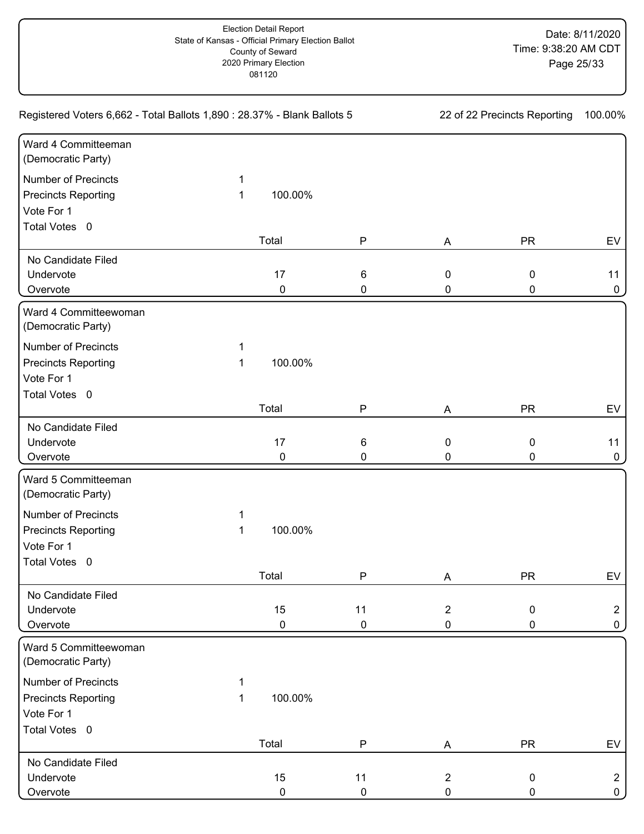| Registered Voters 6,662 - Total Ballots 1,890 : 28.37% - Blank Ballots 5 | 22 of 22 Precincts Reporting |           | 100.00%      |                |           |                |
|--------------------------------------------------------------------------|------------------------------|-----------|--------------|----------------|-----------|----------------|
| Ward 4 Committeeman<br>(Democratic Party)                                |                              |           |              |                |           |                |
| Number of Precincts                                                      | 1                            |           |              |                |           |                |
| <b>Precincts Reporting</b>                                               | 1                            | 100.00%   |              |                |           |                |
| Vote For 1                                                               |                              |           |              |                |           |                |
| Total Votes 0                                                            |                              |           |              |                |           |                |
|                                                                          |                              | Total     | ${\sf P}$    | A              | <b>PR</b> | EV             |
| No Candidate Filed                                                       |                              |           |              |                |           |                |
| Undervote                                                                |                              | 17        | 6            | $\mathbf 0$    | 0         | 11             |
| Overvote                                                                 |                              | $\pmb{0}$ | 0            | 0              | 0         | 0              |
| Ward 4 Committeewoman<br>(Democratic Party)                              |                              |           |              |                |           |                |
| <b>Number of Precincts</b>                                               | 1                            |           |              |                |           |                |
| <b>Precincts Reporting</b>                                               | 1                            | 100.00%   |              |                |           |                |
| Vote For 1                                                               |                              |           |              |                |           |                |
| Total Votes 0                                                            |                              |           |              |                |           |                |
|                                                                          |                              | Total     | P            | A              | <b>PR</b> | EV             |
| No Candidate Filed                                                       |                              |           |              |                |           |                |
| Undervote                                                                |                              | 17        | 6            | $\pmb{0}$      | 0         | 11             |
| Overvote                                                                 |                              | 0         | 0            | 0              | 0         | 0              |
| Ward 5 Committeeman                                                      |                              |           |              |                |           |                |
| (Democratic Party)                                                       |                              |           |              |                |           |                |
| <b>Number of Precincts</b>                                               | 1                            |           |              |                |           |                |
| <b>Precincts Reporting</b>                                               | 1                            | 100.00%   |              |                |           |                |
| Vote For 1                                                               |                              |           |              |                |           |                |
| Total Votes 0                                                            |                              |           |              |                |           |                |
|                                                                          |                              | Total     | $\mathsf{P}$ | Α              | <b>PR</b> | EV             |
| No Candidate Filed                                                       |                              |           |              |                |           |                |
| Undervote                                                                |                              | 15        | 11           | $\overline{2}$ | 0         | $\overline{2}$ |
| Overvote                                                                 |                              | 0         | $\pmb{0}$    | $\pmb{0}$      | 0         | 0              |
| Ward 5 Committeewoman<br>(Democratic Party)                              |                              |           |              |                |           |                |
| <b>Number of Precincts</b>                                               | 1                            |           |              |                |           |                |
| <b>Precincts Reporting</b>                                               | 1                            | 100.00%   |              |                |           |                |
| Vote For 1                                                               |                              |           |              |                |           |                |
| Total Votes 0                                                            |                              |           |              |                |           |                |
|                                                                          |                              | Total     | P            | A              | <b>PR</b> | EV             |
| No Candidate Filed                                                       |                              |           |              |                |           |                |
| Undervote                                                                |                              | 15        | 11           | $\overline{2}$ | 0         | $\overline{2}$ |
| Overvote                                                                 |                              | 0         | 0            | 0              | 0         | 0              |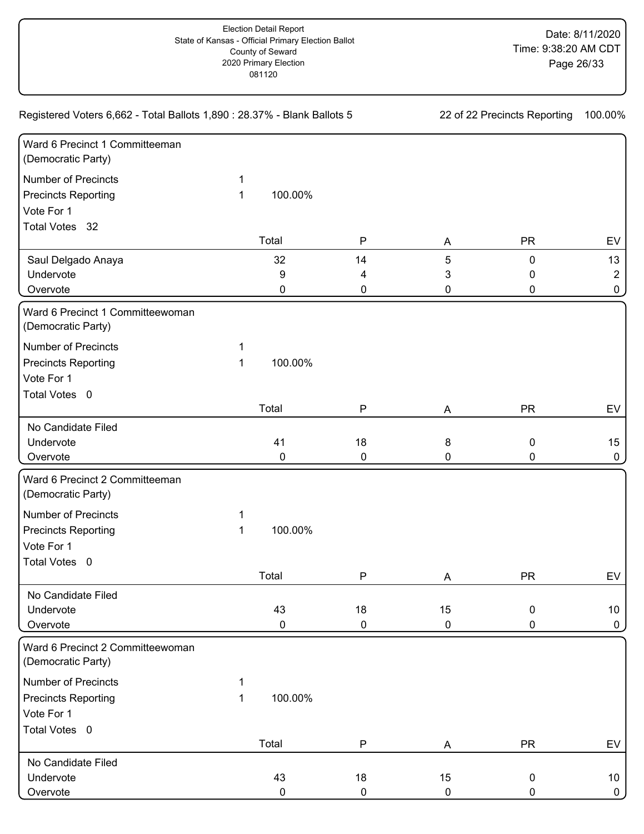| Registered Voters 6,662 - Total Ballots 1,890 : 28.37% - Blank Ballots 5 |   |         |              | 22 of 22 Precincts Reporting |             | 100.00%          |
|--------------------------------------------------------------------------|---|---------|--------------|------------------------------|-------------|------------------|
| Ward 6 Precinct 1 Committeeman<br>(Democratic Party)                     |   |         |              |                              |             |                  |
| <b>Number of Precincts</b>                                               | 1 |         |              |                              |             |                  |
| <b>Precincts Reporting</b>                                               | 1 | 100.00% |              |                              |             |                  |
| Vote For 1                                                               |   |         |              |                              |             |                  |
| Total Votes 32                                                           |   |         |              |                              |             |                  |
|                                                                          |   | Total   | $\mathsf{P}$ | A                            | <b>PR</b>   | EV               |
| Saul Delgado Anaya                                                       |   | 32      | 14           | 5                            | $\pmb{0}$   | 13               |
| Undervote                                                                |   | 9       | 4            | 3                            | 0           | $\overline{2}$   |
| Overvote                                                                 |   | 0       | 0            | 0                            | 0           | 0                |
| Ward 6 Precinct 1 Committeewoman<br>(Democratic Party)                   |   |         |              |                              |             |                  |
| <b>Number of Precincts</b>                                               | 1 |         |              |                              |             |                  |
| <b>Precincts Reporting</b>                                               | 1 | 100.00% |              |                              |             |                  |
| Vote For 1                                                               |   |         |              |                              |             |                  |
| Total Votes 0                                                            |   |         |              |                              |             |                  |
|                                                                          |   | Total   | $\mathsf{P}$ | A                            | <b>PR</b>   | EV               |
| No Candidate Filed                                                       |   |         |              |                              |             |                  |
| Undervote                                                                |   | 41      | $18$         | $\bf 8$                      | 0           | 15 <sub>15</sub> |
| Overvote                                                                 |   | 0       | 0            | 0                            | 0           | $\mathbf 0$      |
| Ward 6 Precinct 2 Committeeman<br>(Democratic Party)                     |   |         |              |                              |             |                  |
| <b>Number of Precincts</b>                                               | 1 |         |              |                              |             |                  |
| <b>Precincts Reporting</b>                                               | 1 | 100.00% |              |                              |             |                  |
| Vote For 1                                                               |   |         |              |                              |             |                  |
| Total Votes 0                                                            |   |         |              |                              |             |                  |
|                                                                          |   | Total   | $\mathsf{P}$ | A                            | <b>PR</b>   | <b>EV</b>        |
| No Candidate Filed                                                       |   |         |              |                              |             |                  |
| Undervote                                                                |   | 43      | 18           | 15                           | $\mathbf 0$ | 10 <sub>1</sub>  |
| Overvote                                                                 |   | 0       | 0            | 0                            | 0           | $\mathbf 0$      |
| Ward 6 Precinct 2 Committeewoman<br>(Democratic Party)                   |   |         |              |                              |             |                  |
| <b>Number of Precincts</b>                                               | 1 |         |              |                              |             |                  |
| <b>Precincts Reporting</b>                                               | 1 | 100.00% |              |                              |             |                  |
| Vote For 1                                                               |   |         |              |                              |             |                  |
| Total Votes 0                                                            |   |         |              |                              |             |                  |
|                                                                          |   | Total   | $\mathsf P$  | A                            | <b>PR</b>   | EV               |
| No Candidate Filed                                                       |   |         |              |                              |             |                  |
| Undervote                                                                |   | 43      | 18           | 15                           | $\pmb{0}$   | 10 <sub>1</sub>  |
| Overvote                                                                 |   | 0       | 0            | $\mathbf 0$                  | 0           | $\mathbf{0}$     |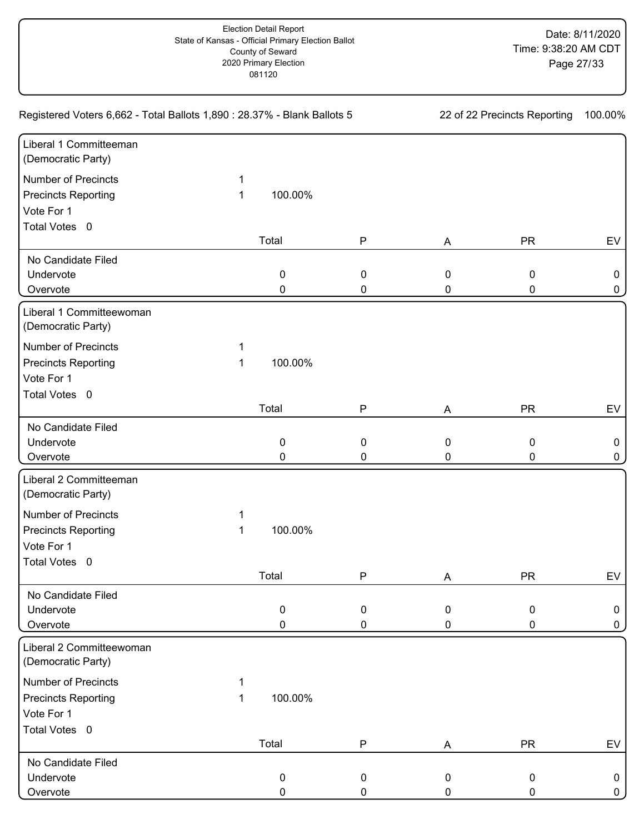| Registered Voters 6,662 - Total Ballots 1,890 : 28.37% - Blank Ballots 5 |   |           |              | 22 of 22 Precincts Reporting | 100.00%   |    |
|--------------------------------------------------------------------------|---|-----------|--------------|------------------------------|-----------|----|
| Liberal 1 Committeeman<br>(Democratic Party)                             |   |           |              |                              |           |    |
| Number of Precincts                                                      | 1 |           |              |                              |           |    |
| <b>Precincts Reporting</b>                                               | 1 | 100.00%   |              |                              |           |    |
| Vote For 1                                                               |   |           |              |                              |           |    |
| Total Votes 0                                                            |   |           |              |                              |           |    |
|                                                                          |   | Total     | ${\sf P}$    | A                            | <b>PR</b> | EV |
| No Candidate Filed                                                       |   |           |              |                              |           |    |
| Undervote                                                                |   | $\pmb{0}$ | $\pmb{0}$    | $\mathbf 0$                  | 0         | 0  |
| Overvote                                                                 |   | 0         | 0            | 0                            | 0         | 0  |
| Liberal 1 Committeewoman<br>(Democratic Party)                           |   |           |              |                              |           |    |
| <b>Number of Precincts</b>                                               | 1 |           |              |                              |           |    |
| <b>Precincts Reporting</b>                                               | 1 | 100.00%   |              |                              |           |    |
| Vote For 1                                                               |   |           |              |                              |           |    |
| Total Votes 0                                                            |   |           |              |                              |           |    |
|                                                                          |   | Total     | P            | Α                            | <b>PR</b> | EV |
| No Candidate Filed                                                       |   |           |              |                              |           |    |
| Undervote                                                                |   | 0         | $\pmb{0}$    | $\mathbf 0$                  | 0         | 0  |
| Overvote                                                                 |   | 0         | 0            | 0                            | 0         | 0  |
| Liberal 2 Committeeman<br>(Democratic Party)                             |   |           |              |                              |           |    |
| <b>Number of Precincts</b>                                               | 1 |           |              |                              |           |    |
| <b>Precincts Reporting</b>                                               | 1 | 100.00%   |              |                              |           |    |
| Vote For 1                                                               |   |           |              |                              |           |    |
| Total Votes 0                                                            |   |           |              |                              |           |    |
|                                                                          |   | Total     | $\mathsf{P}$ | A                            | <b>PR</b> | EV |
| No Candidate Filed                                                       |   |           |              |                              |           |    |
| Undervote                                                                |   | $\pmb{0}$ | 0            | $\mathbf 0$                  | 0         | 0  |
| Overvote                                                                 |   | 0         | 0            | 0                            | 0         | 0  |
| Liberal 2 Committeewoman<br>(Democratic Party)                           |   |           |              |                              |           |    |
| <b>Number of Precincts</b>                                               |   |           |              |                              |           |    |
| <b>Precincts Reporting</b>                                               | 1 | 100.00%   |              |                              |           |    |
| Vote For 1                                                               |   |           |              |                              |           |    |
| Total Votes 0                                                            |   |           |              |                              |           |    |
|                                                                          |   | Total     | P            | A                            | <b>PR</b> | EV |
| No Candidate Filed                                                       |   |           |              |                              |           |    |
| Undervote                                                                |   | 0         | 0            | $\mathbf 0$                  | 0         | 0  |
| Overvote                                                                 |   | 0         | 0            | 0                            | 0         | 0  |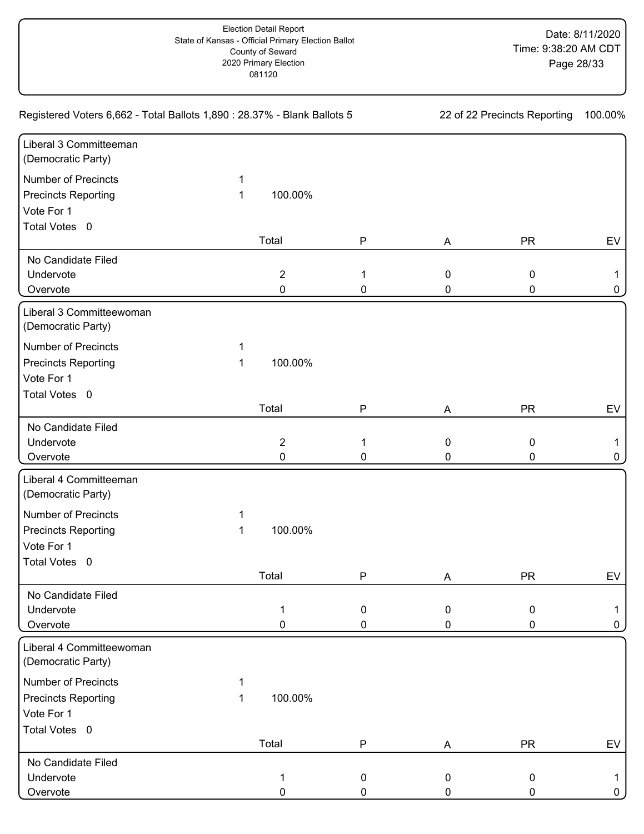| Registered Voters 6,662 - Total Ballots 1,890 : 28.37% - Blank Ballots 5 |   |                |              | 22 of 22 Precincts Reporting |           |    |
|--------------------------------------------------------------------------|---|----------------|--------------|------------------------------|-----------|----|
| Liberal 3 Committeeman<br>(Democratic Party)                             |   |                |              |                              |           |    |
| Number of Precincts                                                      | 1 |                |              |                              |           |    |
| <b>Precincts Reporting</b>                                               | 1 | 100.00%        |              |                              |           |    |
| Vote For 1                                                               |   |                |              |                              |           |    |
| Total Votes 0                                                            |   |                |              |                              |           |    |
|                                                                          |   | Total          | ${\sf P}$    | A                            | <b>PR</b> | EV |
| No Candidate Filed                                                       |   |                |              |                              |           |    |
| Undervote                                                                |   | $\sqrt{2}$     | 1            | $\mathbf 0$                  | 0         |    |
| Overvote                                                                 |   | 0              | 0            | 0                            | 0         | 0  |
| Liberal 3 Committeewoman<br>(Democratic Party)                           |   |                |              |                              |           |    |
| <b>Number of Precincts</b>                                               | 1 |                |              |                              |           |    |
| <b>Precincts Reporting</b>                                               | 1 | 100.00%        |              |                              |           |    |
| Vote For 1                                                               |   |                |              |                              |           |    |
| Total Votes 0                                                            |   |                |              |                              |           |    |
|                                                                          |   | Total          | P            | Α                            | <b>PR</b> | EV |
| No Candidate Filed                                                       |   |                |              |                              |           |    |
| Undervote                                                                |   | $\overline{c}$ | 1            | $\mathbf 0$                  | 0         | 1. |
| Overvote                                                                 |   | 0              | 0            | 0                            | 0         | 0  |
| Liberal 4 Committeeman<br>(Democratic Party)                             |   |                |              |                              |           |    |
| <b>Number of Precincts</b>                                               | 1 |                |              |                              |           |    |
| <b>Precincts Reporting</b>                                               | 1 | 100.00%        |              |                              |           |    |
| Vote For 1                                                               |   |                |              |                              |           |    |
| Total Votes 0                                                            |   |                |              |                              |           |    |
|                                                                          |   | Total          | $\mathsf{P}$ | A                            | <b>PR</b> | EV |
| No Candidate Filed                                                       |   |                |              |                              |           |    |
| Undervote                                                                |   | 1              | 0            | $\mathbf 0$                  | 0         |    |
| Overvote                                                                 |   | 0              | 0            | 0                            | 0         | 0  |
| Liberal 4 Committeewoman<br>(Democratic Party)                           |   |                |              |                              |           |    |
| <b>Number of Precincts</b>                                               |   |                |              |                              |           |    |
| <b>Precincts Reporting</b>                                               | 1 | 100.00%        |              |                              |           |    |
| Vote For 1                                                               |   |                |              |                              |           |    |
| Total Votes 0                                                            |   |                |              |                              |           |    |
|                                                                          |   | Total          | P            | A                            | <b>PR</b> | EV |
| No Candidate Filed                                                       |   |                |              |                              |           |    |
| Undervote                                                                |   | 1              | 0            | 0                            | 0         |    |
| Overvote                                                                 |   | 0              | 0            | 0                            | 0         | 0  |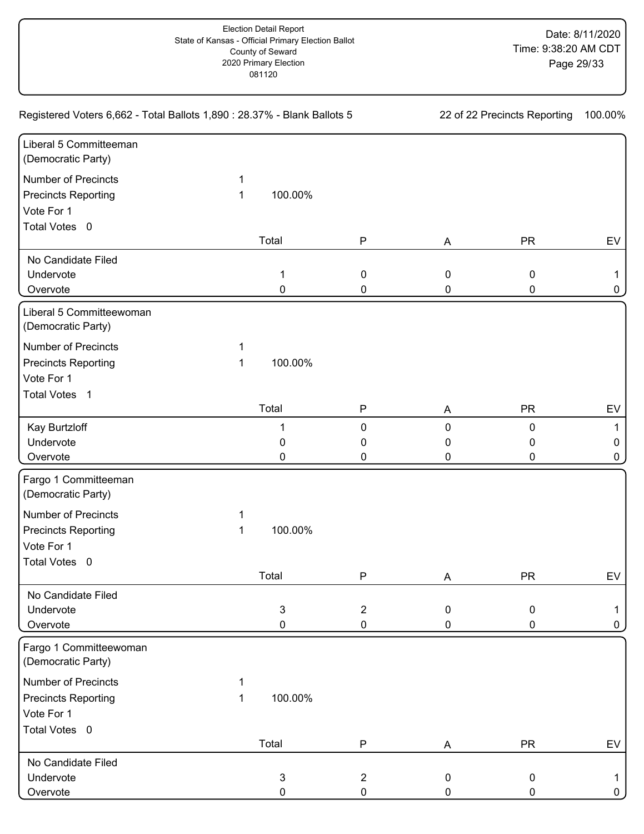| Registered Voters 6,662 - Total Ballots 1,890 : 28.37% - Blank Ballots 5 |   |         |                | 22 of 22 Precincts Reporting | 100.00%   |             |
|--------------------------------------------------------------------------|---|---------|----------------|------------------------------|-----------|-------------|
| Liberal 5 Committeeman<br>(Democratic Party)                             |   |         |                |                              |           |             |
| Number of Precincts                                                      | 1 |         |                |                              |           |             |
| <b>Precincts Reporting</b>                                               | 1 | 100.00% |                |                              |           |             |
| Vote For 1                                                               |   |         |                |                              |           |             |
| Total Votes 0                                                            |   |         |                |                              |           |             |
|                                                                          |   | Total   | ${\sf P}$      | A                            | <b>PR</b> | EV          |
| No Candidate Filed                                                       |   |         |                |                              |           |             |
| Undervote                                                                |   | 1       | $\pmb{0}$      | $\mathbf 0$                  | 0         |             |
| Overvote                                                                 |   | 0       | 0              | 0                            | 0         | 0           |
| Liberal 5 Committeewoman<br>(Democratic Party)                           |   |         |                |                              |           |             |
| <b>Number of Precincts</b>                                               | 1 |         |                |                              |           |             |
| <b>Precincts Reporting</b>                                               | 1 | 100.00% |                |                              |           |             |
| Vote For 1                                                               |   |         |                |                              |           |             |
| Total Votes 1                                                            |   |         |                |                              |           |             |
|                                                                          |   | Total   | P              | Α                            | <b>PR</b> | EV          |
| Kay Burtzloff                                                            |   | 1       | $\pmb{0}$      | $\mathbf 0$                  | 0         |             |
| Undervote                                                                |   | 0       | 0              | 0                            | 0         | 0           |
| Overvote                                                                 |   | 0       | 0              | 0                            | 0         | 0           |
| Fargo 1 Committeeman<br>(Democratic Party)                               |   |         |                |                              |           |             |
| <b>Number of Precincts</b>                                               | 1 |         |                |                              |           |             |
| <b>Precincts Reporting</b>                                               | 1 | 100.00% |                |                              |           |             |
| Vote For 1                                                               |   |         |                |                              |           |             |
| Total Votes 0                                                            |   |         |                |                              |           |             |
|                                                                          |   | Total   | $\mathsf{P}$   | A                            | <b>PR</b> | EV          |
| No Candidate Filed                                                       |   |         |                |                              |           |             |
| Undervote                                                                |   | 3       | $\overline{2}$ | $\mathbf 0$                  | 0         |             |
| Overvote                                                                 |   | 0       | 0              | 0                            | 0         | 0           |
| Fargo 1 Committeewoman<br>(Democratic Party)                             |   |         |                |                              |           |             |
| <b>Number of Precincts</b>                                               | 1 |         |                |                              |           |             |
| <b>Precincts Reporting</b>                                               | 1 | 100.00% |                |                              |           |             |
| Vote For 1                                                               |   |         |                |                              |           |             |
| Total Votes 0                                                            |   |         |                |                              |           |             |
|                                                                          |   | Total   | P              | Α                            | <b>PR</b> | EV          |
| No Candidate Filed                                                       |   |         |                |                              |           |             |
| Undervote                                                                |   | 3       | $\overline{2}$ | 0                            | 0         | 1.          |
| Overvote                                                                 |   | 0       | $\pmb{0}$      | 0                            | 0         | $\mathbf 0$ |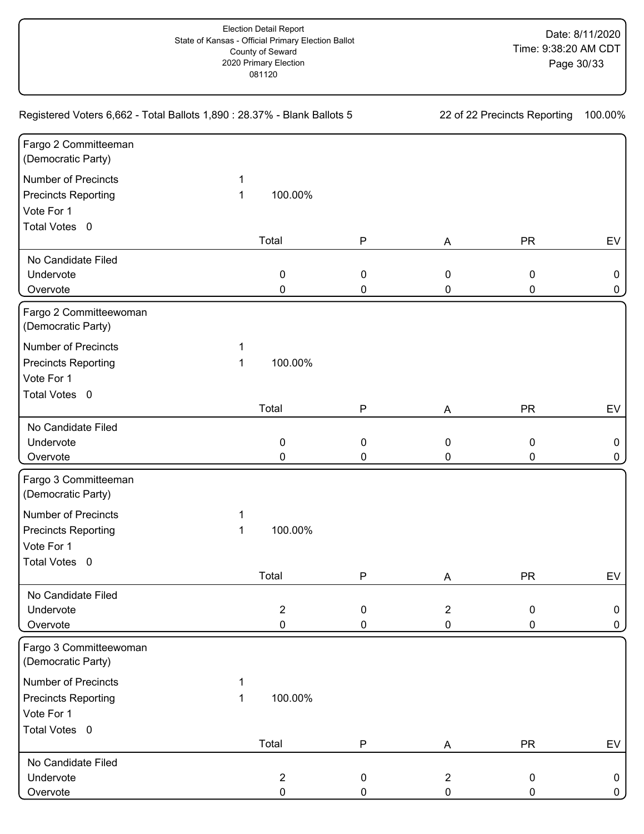| Registered Voters 6,662 - Total Ballots 1,890 : 28.37% - Blank Ballots 5 |   |                  | 22 of 22 Precincts Reporting |                  |           | 100.00% |
|--------------------------------------------------------------------------|---|------------------|------------------------------|------------------|-----------|---------|
| Fargo 2 Committeeman<br>(Democratic Party)                               |   |                  |                              |                  |           |         |
| <b>Number of Precincts</b>                                               | 1 |                  |                              |                  |           |         |
| <b>Precincts Reporting</b>                                               | 1 | 100.00%          |                              |                  |           |         |
| Vote For 1                                                               |   |                  |                              |                  |           |         |
| Total Votes 0                                                            |   |                  |                              |                  |           |         |
|                                                                          |   | Total            | ${\sf P}$                    | A                | <b>PR</b> | EV      |
| No Candidate Filed                                                       |   |                  |                              |                  |           |         |
| Undervote                                                                |   | $\pmb{0}$        | $\pmb{0}$                    | $\mathbf 0$      | 0         | 0       |
| Overvote                                                                 |   | 0                | 0                            | 0                | 0         | 0       |
| Fargo 2 Committeewoman<br>(Democratic Party)                             |   |                  |                              |                  |           |         |
| <b>Number of Precincts</b>                                               | 1 |                  |                              |                  |           |         |
| <b>Precincts Reporting</b>                                               | 1 | 100.00%          |                              |                  |           |         |
| Vote For 1                                                               |   |                  |                              |                  |           |         |
| Total Votes 0                                                            |   |                  |                              |                  |           |         |
|                                                                          |   | Total            | P                            | A                | <b>PR</b> | EV      |
| No Candidate Filed                                                       |   |                  |                              |                  |           |         |
| Undervote                                                                |   | 0                | $\pmb{0}$                    | $\pmb{0}$        | 0         | 0       |
| Overvote                                                                 |   | 0                | 0                            | 0                | 0         | 0       |
| Fargo 3 Committeeman<br>(Democratic Party)                               |   |                  |                              |                  |           |         |
| <b>Number of Precincts</b>                                               | 1 |                  |                              |                  |           |         |
| <b>Precincts Reporting</b>                                               | 1 | 100.00%          |                              |                  |           |         |
| Vote For 1                                                               |   |                  |                              |                  |           |         |
| Total Votes 0                                                            |   |                  |                              |                  |           |         |
|                                                                          |   | Total            | ${\sf P}$                    | A                | <b>PR</b> | EV      |
| No Candidate Filed                                                       |   |                  |                              |                  |           |         |
| Undervote                                                                |   | $\overline{2}$   | 0                            | $\boldsymbol{2}$ | 0         | 0       |
| Overvote                                                                 |   | 0                | 0                            | $\pmb{0}$        | 0         | 0       |
| Fargo 3 Committeewoman<br>(Democratic Party)                             |   |                  |                              |                  |           |         |
| Number of Precincts                                                      |   |                  |                              |                  |           |         |
| <b>Precincts Reporting</b>                                               | 1 | 100.00%          |                              |                  |           |         |
| Vote For 1                                                               |   |                  |                              |                  |           |         |
| Total Votes 0                                                            |   |                  |                              |                  |           |         |
|                                                                          |   | Total            | P                            | A                | <b>PR</b> | EV      |
| No Candidate Filed                                                       |   |                  |                              |                  |           |         |
| Undervote                                                                |   | $\boldsymbol{2}$ | 0                            | $\overline{2}$   | 0         | 0       |
| Overvote                                                                 |   | 0                | 0                            | 0                | 0         | 0       |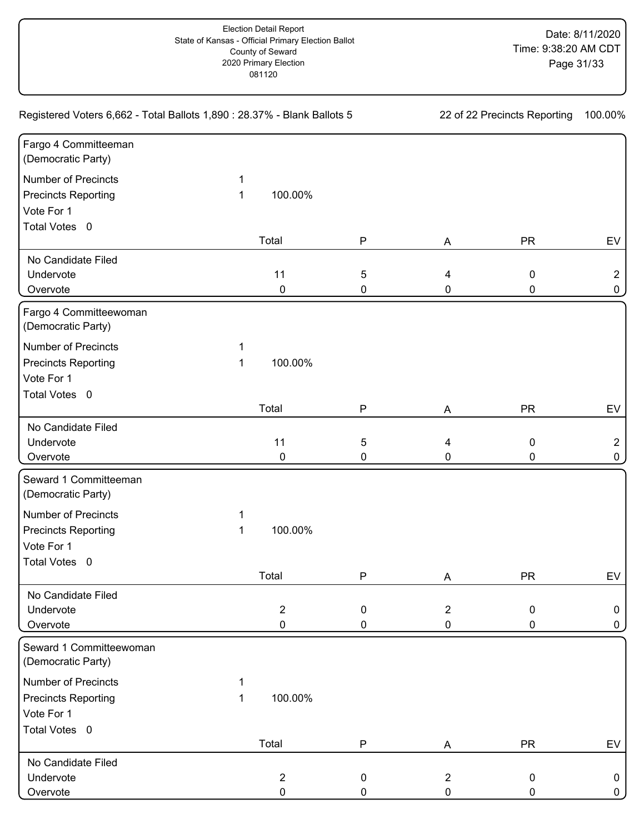| Registered Voters 6,662 - Total Ballots 1,890 : 28.37% - Blank Ballots 5 |   |                |                  | 22 of 22 Precincts Reporting |           |                |
|--------------------------------------------------------------------------|---|----------------|------------------|------------------------------|-----------|----------------|
| Fargo 4 Committeeman<br>(Democratic Party)                               |   |                |                  |                              |           |                |
| <b>Number of Precincts</b>                                               | 1 |                |                  |                              |           |                |
| <b>Precincts Reporting</b>                                               | 1 | 100.00%        |                  |                              |           |                |
| Vote For 1                                                               |   |                |                  |                              |           |                |
| Total Votes 0                                                            |   |                |                  |                              |           |                |
|                                                                          |   | Total          | ${\sf P}$        | A                            | <b>PR</b> | EV             |
| No Candidate Filed                                                       |   |                |                  |                              |           |                |
| Undervote                                                                |   | 11             | 5                | 4                            | 0         | $\overline{2}$ |
| Overvote                                                                 |   | $\pmb{0}$      | 0                | 0                            | 0         | 0              |
| Fargo 4 Committeewoman<br>(Democratic Party)                             |   |                |                  |                              |           |                |
| <b>Number of Precincts</b>                                               | 1 |                |                  |                              |           |                |
| <b>Precincts Reporting</b>                                               | 1 | 100.00%        |                  |                              |           |                |
| Vote For 1                                                               |   |                |                  |                              |           |                |
| Total Votes 0                                                            |   |                |                  |                              |           |                |
|                                                                          |   | Total          | P                | A                            | <b>PR</b> | EV             |
| No Candidate Filed                                                       |   |                |                  |                              |           |                |
| Undervote                                                                |   | 11             | 5                | 4                            | 0         | $\overline{2}$ |
| Overvote                                                                 |   | 0              | 0                | 0                            | 0         | 0              |
| Seward 1 Committeeman<br>(Democratic Party)                              |   |                |                  |                              |           |                |
| <b>Number of Precincts</b>                                               | 1 |                |                  |                              |           |                |
| <b>Precincts Reporting</b>                                               | 1 | 100.00%        |                  |                              |           |                |
| Vote For 1                                                               |   |                |                  |                              |           |                |
| Total Votes 0                                                            |   |                |                  |                              |           |                |
|                                                                          |   | Total          | ${\sf P}$        | A                            | <b>PR</b> | EV             |
| No Candidate Filed                                                       |   |                |                  |                              |           |                |
| Undervote                                                                |   | $\overline{2}$ | 0                | $\overline{2}$               | 0         | 0              |
| Overvote                                                                 |   | 0              | 0                | $\pmb{0}$                    | 0         | 0              |
| Seward 1 Committeewoman<br>(Democratic Party)                            |   |                |                  |                              |           |                |
| <b>Number of Precincts</b>                                               |   |                |                  |                              |           |                |
| <b>Precincts Reporting</b>                                               | 1 | 100.00%        |                  |                              |           |                |
| Vote For 1                                                               |   |                |                  |                              |           |                |
| Total Votes 0                                                            |   |                |                  |                              |           |                |
|                                                                          |   | Total          | P                | A                            | <b>PR</b> | EV             |
| No Candidate Filed                                                       |   |                |                  |                              |           |                |
| Undervote                                                                |   | $\overline{2}$ | $\boldsymbol{0}$ | $\overline{2}$               | 0         | 0              |
| Overvote                                                                 |   | 0              | 0                | 0                            | 0         | 0              |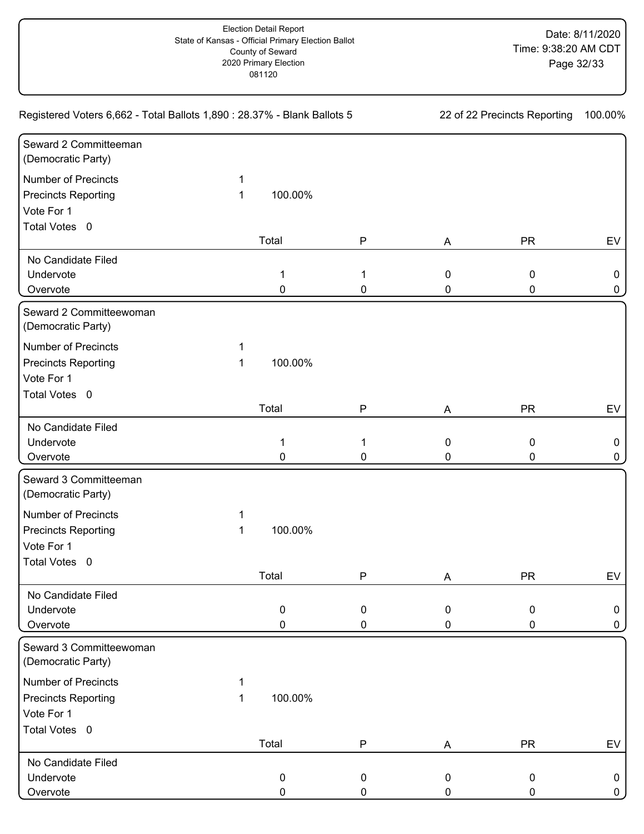| Registered Voters 6,662 - Total Ballots 1,890 : 28.37% - Blank Ballots 5 |   |           |              | 22 of 22 Precincts Reporting |           |    |
|--------------------------------------------------------------------------|---|-----------|--------------|------------------------------|-----------|----|
| Seward 2 Committeeman<br>(Democratic Party)                              |   |           |              |                              |           |    |
| Number of Precincts                                                      | 1 |           |              |                              |           |    |
| <b>Precincts Reporting</b>                                               | 1 | 100.00%   |              |                              |           |    |
| Vote For 1                                                               |   |           |              |                              |           |    |
| Total Votes 0                                                            |   |           |              |                              |           |    |
|                                                                          |   | Total     | ${\sf P}$    | A                            | <b>PR</b> | EV |
| No Candidate Filed                                                       |   |           |              |                              |           |    |
| Undervote                                                                |   | 1         | 1            | $\mathbf 0$                  | 0         | 0  |
| Overvote                                                                 |   | 0         | 0            | 0                            | 0         | 0  |
| Seward 2 Committeewoman<br>(Democratic Party)                            |   |           |              |                              |           |    |
| <b>Number of Precincts</b>                                               | 1 |           |              |                              |           |    |
| <b>Precincts Reporting</b>                                               | 1 | 100.00%   |              |                              |           |    |
| Vote For 1                                                               |   |           |              |                              |           |    |
| Total Votes 0                                                            |   |           |              |                              |           |    |
|                                                                          |   | Total     | P            | A                            | <b>PR</b> | EV |
| No Candidate Filed                                                       |   |           |              |                              |           |    |
| Undervote                                                                |   | 1         | 1            | $\mathbf 0$                  | 0         | 0  |
| Overvote                                                                 |   | 0         | 0            | 0                            | 0         | 0  |
| Seward 3 Committeeman<br>(Democratic Party)                              |   |           |              |                              |           |    |
| <b>Number of Precincts</b>                                               | 1 |           |              |                              |           |    |
| <b>Precincts Reporting</b>                                               | 1 | 100.00%   |              |                              |           |    |
| Vote For 1                                                               |   |           |              |                              |           |    |
| Total Votes 0                                                            |   |           |              |                              |           |    |
|                                                                          |   | Total     | $\mathsf{P}$ | A                            | <b>PR</b> | EV |
| No Candidate Filed                                                       |   |           |              |                              |           |    |
| Undervote                                                                |   | $\pmb{0}$ | 0            | $\mathbf 0$                  | 0         | 0  |
| Overvote                                                                 |   | 0         | 0            | 0                            | 0         | 0  |
| Seward 3 Committeewoman<br>(Democratic Party)                            |   |           |              |                              |           |    |
| <b>Number of Precincts</b>                                               |   |           |              |                              |           |    |
| <b>Precincts Reporting</b>                                               | 1 | 100.00%   |              |                              |           |    |
| Vote For 1                                                               |   |           |              |                              |           |    |
| Total Votes 0                                                            |   |           |              |                              |           |    |
|                                                                          |   | Total     | P            | A                            | <b>PR</b> | EV |
| No Candidate Filed                                                       |   |           |              |                              |           |    |
| Undervote                                                                |   | 0         | 0            | $\mathbf 0$                  | 0         | 0  |
| Overvote                                                                 |   | 0         | 0            | 0                            | 0         | 0  |